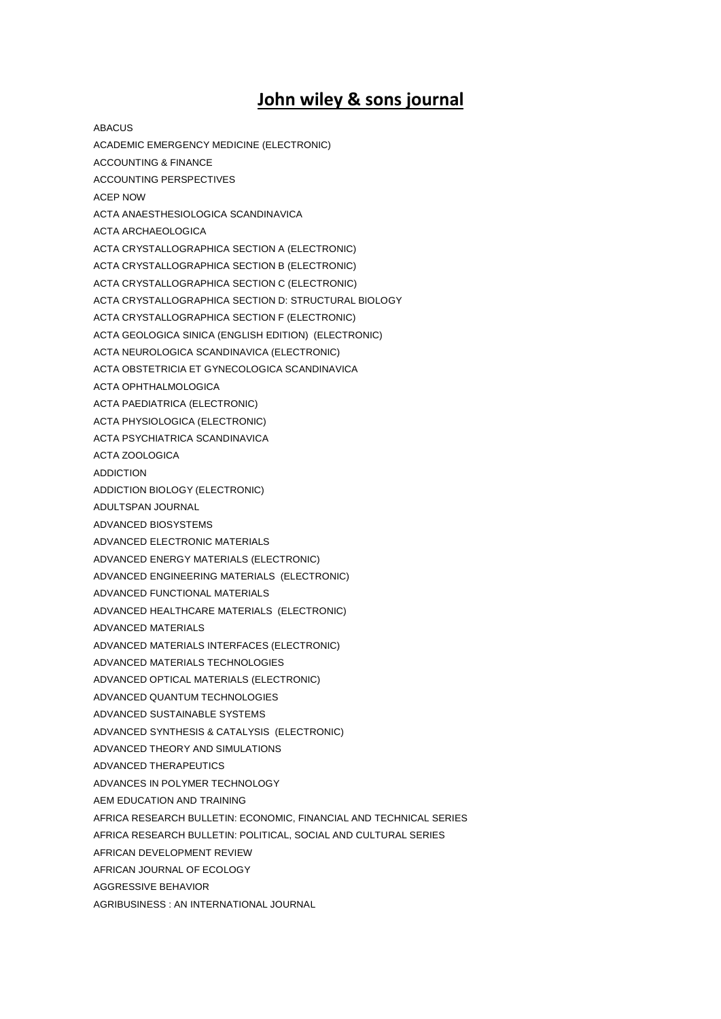## **John wiley & sons journal**

ABACUS ACADEMIC EMERGENCY MEDICINE (ELECTRONIC) ACCOUNTING & FINANCE ACCOUNTING PERSPECTIVES ACEP NOW ACTA ANAESTHESIOLOGICA SCANDINAVICA ACTA ARCHAEOLOGICA ACTA CRYSTALLOGRAPHICA SECTION A (ELECTRONIC) ACTA CRYSTALLOGRAPHICA SECTION B (ELECTRONIC) ACTA CRYSTALLOGRAPHICA SECTION C (ELECTRONIC) ACTA CRYSTALLOGRAPHICA SECTION D: STRUCTURAL BIOLOGY ACTA CRYSTALLOGRAPHICA SECTION F (ELECTRONIC) ACTA GEOLOGICA SINICA (ENGLISH EDITION) (ELECTRONIC) ACTA NEUROLOGICA SCANDINAVICA (ELECTRONIC) ACTA OBSTETRICIA ET GYNECOLOGICA SCANDINAVICA ACTA OPHTHALMOLOGICA ACTA PAEDIATRICA (ELECTRONIC) ACTA PHYSIOLOGICA (ELECTRONIC) ACTA PSYCHIATRICA SCANDINAVICA ACTA ZOOLOGICA ADDICTION ADDICTION BIOLOGY (ELECTRONIC) ADULTSPAN JOURNAL ADVANCED BIOSYSTEMS ADVANCED ELECTRONIC MATERIALS ADVANCED ENERGY MATERIALS (ELECTRONIC) ADVANCED ENGINEERING MATERIALS (ELECTRONIC) ADVANCED FUNCTIONAL MATERIALS ADVANCED HEALTHCARE MATERIALS (ELECTRONIC) ADVANCED MATERIALS ADVANCED MATERIALS INTERFACES (ELECTRONIC) ADVANCED MATERIALS TECHNOLOGIES ADVANCED OPTICAL MATERIALS (ELECTRONIC) ADVANCED QUANTUM TECHNOLOGIES ADVANCED SUSTAINABLE SYSTEMS ADVANCED SYNTHESIS & CATALYSIS (ELECTRONIC) ADVANCED THEORY AND SIMULATIONS ADVANCED THERAPEUTICS ADVANCES IN POLYMER TECHNOLOGY AEM EDUCATION AND TRAINING AFRICA RESEARCH BULLETIN: ECONOMIC, FINANCIAL AND TECHNICAL SERIES AFRICA RESEARCH BULLETIN: POLITICAL, SOCIAL AND CULTURAL SERIES AFRICAN DEVELOPMENT REVIEW AFRICAN JOURNAL OF ECOLOGY AGGRESSIVE BEHAVIOR AGRIBUSINESS : AN INTERNATIONAL JOURNAL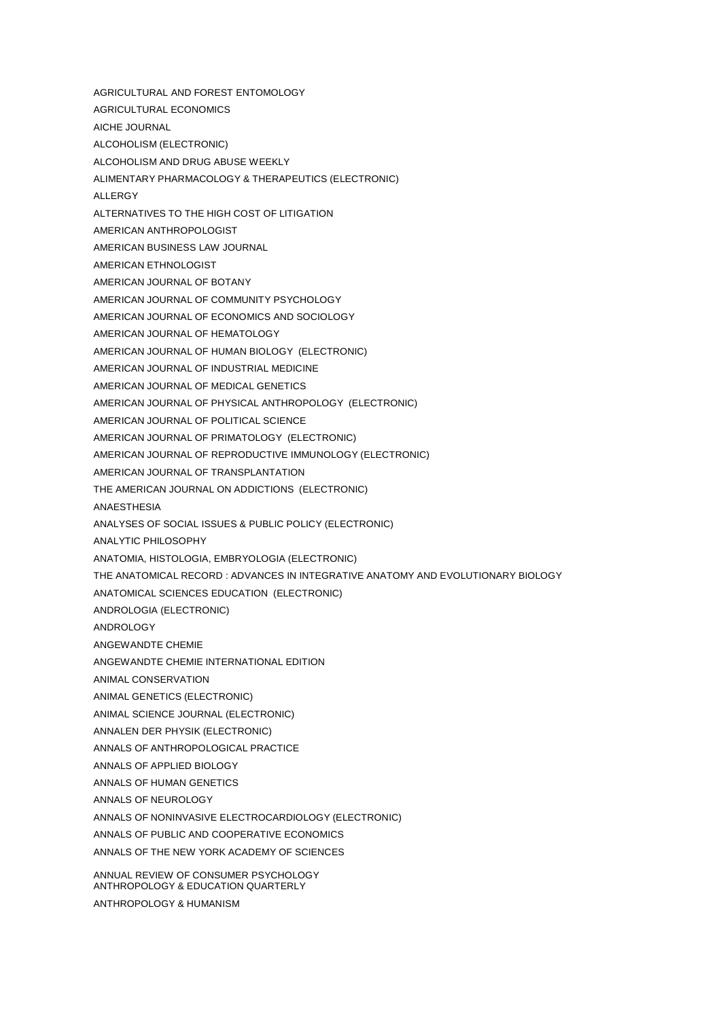- AGRICULTURAL AND FOREST ENTOMOLOGY
- AGRICULTURAL ECONOMICS
- AICHE JOURNAL
- ALCOHOLISM (ELECTRONIC)
- ALCOHOLISM AND DRUG ABUSE WEEKLY
- ALIMENTARY PHARMACOLOGY & THERAPEUTICS (ELECTRONIC)
- ALLERGY
- ALTERNATIVES TO THE HIGH COST OF LITIGATION
- AMERICAN ANTHROPOLOGIST
- AMERICAN BUSINESS LAW JOURNAL
- AMERICAN ETHNOLOGIST
- AMERICAN JOURNAL OF BOTANY
- AMERICAN JOURNAL OF COMMUNITY PSYCHOLOGY
- AMERICAN JOURNAL OF ECONOMICS AND SOCIOLOGY
- AMERICAN JOURNAL OF HEMATOLOGY
- AMERICAN JOURNAL OF HUMAN BIOLOGY (ELECTRONIC)
- AMERICAN JOURNAL OF INDUSTRIAL MEDICINE
- AMERICAN JOURNAL OF MEDICAL GENETICS
- AMERICAN JOURNAL OF PHYSICAL ANTHROPOLOGY (ELECTRONIC)
- AMERICAN JOURNAL OF POLITICAL SCIENCE
- AMERICAN JOURNAL OF PRIMATOLOGY (ELECTRONIC)
- AMERICAN JOURNAL OF REPRODUCTIVE IMMUNOLOGY (ELECTRONIC)
- AMERICAN JOURNAL OF TRANSPLANTATION
- THE AMERICAN JOURNAL ON ADDICTIONS (ELECTRONIC)
- ANAESTHESIA
- ANALYSES OF SOCIAL ISSUES & PUBLIC POLICY (ELECTRONIC)
- ANALYTIC PHILOSOPHY
- ANATOMIA, HISTOLOGIA, EMBRYOLOGIA (ELECTRONIC)
- THE ANATOMICAL RECORD : ADVANCES IN INTEGRATIVE ANATOMY AND EVOLUTIONARY BIOLOGY
- ANATOMICAL SCIENCES EDUCATION (ELECTRONIC)
- ANDROLOGIA (ELECTRONIC)
- ANDROLOGY
- ANGEWANDTE CHEMIE
- ANGEWANDTE CHEMIE INTERNATIONAL EDITION
- ANIMAL CONSERVATION
- ANIMAL GENETICS (ELECTRONIC)
- ANIMAL SCIENCE JOURNAL (ELECTRONIC)
- ANNALEN DER PHYSIK (ELECTRONIC)
- ANNALS OF ANTHROPOLOGICAL PRACTICE
- ANNALS OF APPLIED BIOLOGY
- ANNALS OF HUMAN GENETICS
- ANNALS OF NEUROLOGY
- ANNALS OF NONINVASIVE ELECTROCARDIOLOGY (ELECTRONIC)
- ANNALS OF PUBLIC AND COOPERATIVE ECONOMICS
- ANNALS OF THE NEW YORK ACADEMY OF SCIENCES

ANNUAL REVIEW OF CONSUMER PSYCHOLOGY ANTHROPOLOGY & EDUCATION QUARTERLY

ANTHROPOLOGY & HUMANISM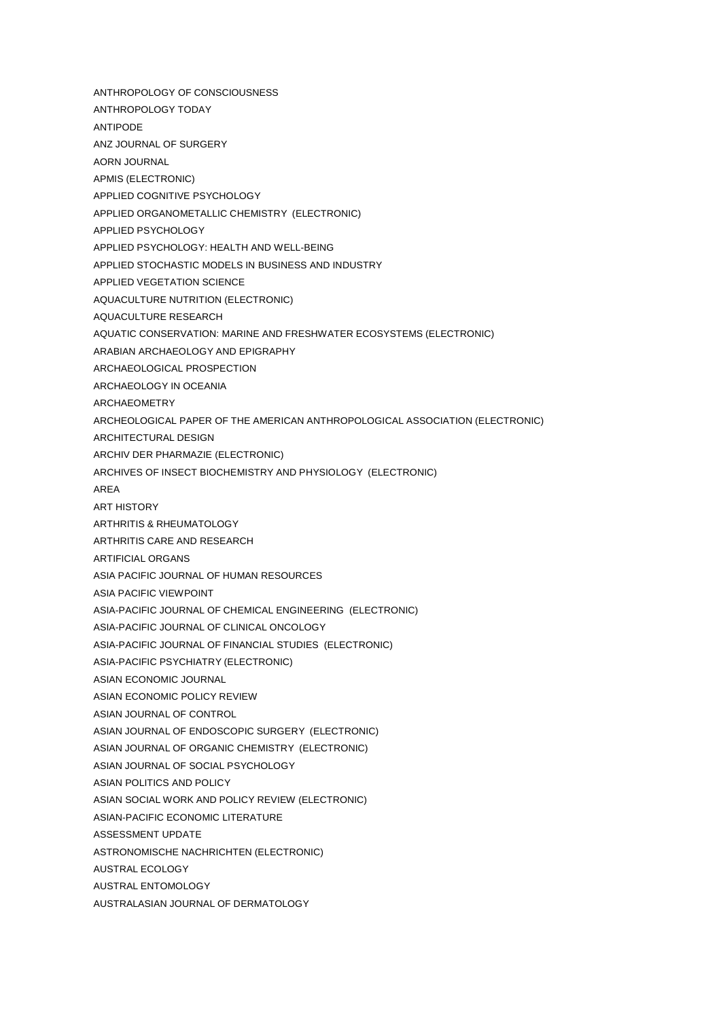- ANTHROPOLOGY OF CONSCIOUSNESS
- ANTHROPOLOGY TODAY
- ANTIPODE
- ANZ JOURNAL OF SURGERY
- AORN JOURNAL
- APMIS (ELECTRONIC)
- APPLIED COGNITIVE PSYCHOLOGY
- APPLIED ORGANOMETALLIC CHEMISTRY (ELECTRONIC)
- APPLIED PSYCHOLOGY
- APPLIED PSYCHOLOGY: HEALTH AND WELL-BEING
- APPLIED STOCHASTIC MODELS IN BUSINESS AND INDUSTRY
- APPLIED VEGETATION SCIENCE
- AQUACULTURE NUTRITION (ELECTRONIC)
- AQUACULTURE RESEARCH
- AQUATIC CONSERVATION: MARINE AND FRESHWATER ECOSYSTEMS (ELECTRONIC)
- ARABIAN ARCHAEOLOGY AND EPIGRAPHY
- ARCHAEOLOGICAL PROSPECTION
- ARCHAEOLOGY IN OCEANIA
- ARCHAEOMETRY
- ARCHEOLOGICAL PAPER OF THE AMERICAN ANTHROPOLOGICAL ASSOCIATION (ELECTRONIC)
- ARCHITECTURAL DESIGN
- ARCHIV DER PHARMAZIE (ELECTRONIC)
- ARCHIVES OF INSECT BIOCHEMISTRY AND PHYSIOLOGY (ELECTRONIC)
- AREA
- ART HISTORY
- ARTHRITIS & RHEUMATOLOGY
- ARTHRITIS CARE AND RESEARCH
- ARTIFICIAL ORGANS
- ASIA PACIFIC JOURNAL OF HUMAN RESOURCES
- ASIA PACIFIC VIEWPOINT
- ASIA-PACIFIC JOURNAL OF CHEMICAL ENGINEERING (ELECTRONIC)
- ASIA-PACIFIC JOURNAL OF CLINICAL ONCOLOGY
- ASIA-PACIFIC JOURNAL OF FINANCIAL STUDIES (ELECTRONIC)
- ASIA-PACIFIC PSYCHIATRY (ELECTRONIC)
- ASIAN ECONOMIC JOURNAL
- ASIAN ECONOMIC POLICY REVIEW
- ASIAN JOURNAL OF CONTROL
- ASIAN JOURNAL OF ENDOSCOPIC SURGERY (ELECTRONIC)
- ASIAN JOURNAL OF ORGANIC CHEMISTRY (ELECTRONIC)
- ASIAN JOURNAL OF SOCIAL PSYCHOLOGY
- ASIAN POLITICS AND POLICY
- ASIAN SOCIAL WORK AND POLICY REVIEW (ELECTRONIC)
- ASIAN-PACIFIC ECONOMIC LITERATURE
- ASSESSMENT UPDATE
- ASTRONOMISCHE NACHRICHTEN (ELECTRONIC)
- AUSTRAL ECOLOGY
- AUSTRAL ENTOMOLOGY
- AUSTRALASIAN JOURNAL OF DERMATOLOGY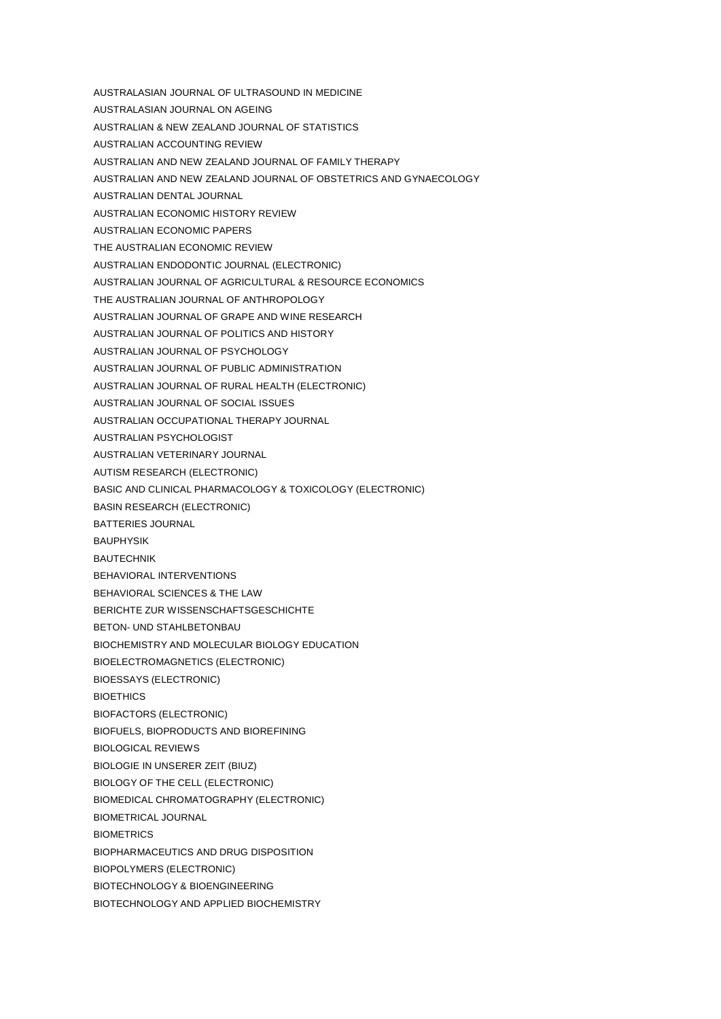AUSTRALASIAN JOURNAL ON AGEING AUSTRALIAN & NEW ZEALAND JOURNAL OF STATISTICS AUSTRALIAN ACCOUNTING REVIEW AUSTRALIAN AND NEW ZEALAND JOURNAL OF FAMILY THERAPY AUSTRALIAN AND NEW ZEALAND JOURNAL OF OBSTETRICS AND GYNAECOLOGY AUSTRALIAN DENTAL JOURNAL AUSTRALIAN ECONOMIC HISTORY REVIEW AUSTRALIAN ECONOMIC PAPERS THE AUSTRALIAN ECONOMIC REVIEW AUSTRALIAN ENDODONTIC JOURNAL (ELECTRONIC) AUSTRALIAN JOURNAL OF AGRICULTURAL & RESOURCE ECONOMICS THE AUSTRALIAN JOURNAL OF ANTHROPOLOGY AUSTRALIAN JOURNAL OF GRAPE AND WINE RESEARCH AUSTRALIAN JOURNAL OF POLITICS AND HISTORY AUSTRALIAN JOURNAL OF PSYCHOLOGY AUSTRALIAN JOURNAL OF PUBLIC ADMINISTRATION AUSTRALIAN JOURNAL OF RURAL HEALTH (ELECTRONIC) AUSTRALIAN JOURNAL OF SOCIAL ISSUES AUSTRALIAN OCCUPATIONAL THERAPY JOURNAL AUSTRALIAN PSYCHOLOGIST AUSTRALIAN VETERINARY JOURNAL AUTISM RESEARCH (ELECTRONIC) BASIC AND CLINICAL PHARMACOLOGY & TOXICOLOGY (ELECTRONIC) BASIN RESEARCH (ELECTRONIC) BATTERIES JOURNAL BAUPHYSIK **BAUTECHNIK** BEHAVIORAL INTERVENTIONS BEHAVIORAL SCIENCES & THE LAW BERICHTE ZUR WISSENSCHAFTSGESCHICHTE BETON- UND STAHLBETONBAU BIOCHEMISTRY AND MOLECULAR BIOLOGY EDUCATION BIOELECTROMAGNETICS (ELECTRONIC) BIOESSAYS (ELECTRONIC) **BIOETHICS** BIOFACTORS (ELECTRONIC) BIOFUELS, BIOPRODUCTS AND BIOREFINING BIOLOGICAL REVIEWS BIOLOGIE IN UNSERER ZEIT (BIUZ) BIOLOGY OF THE CELL (ELECTRONIC) BIOMEDICAL CHROMATOGRAPHY (ELECTRONIC)

AUSTRALASIAN JOURNAL OF ULTRASOUND IN MEDICINE

- BIOMETRICAL JOURNAL
- **BIOMETRICS**
- BIOPHARMACEUTICS AND DRUG DISPOSITION
- BIOPOLYMERS (ELECTRONIC)
- BIOTECHNOLOGY & BIOENGINEERING
- BIOTECHNOLOGY AND APPLIED BIOCHEMISTRY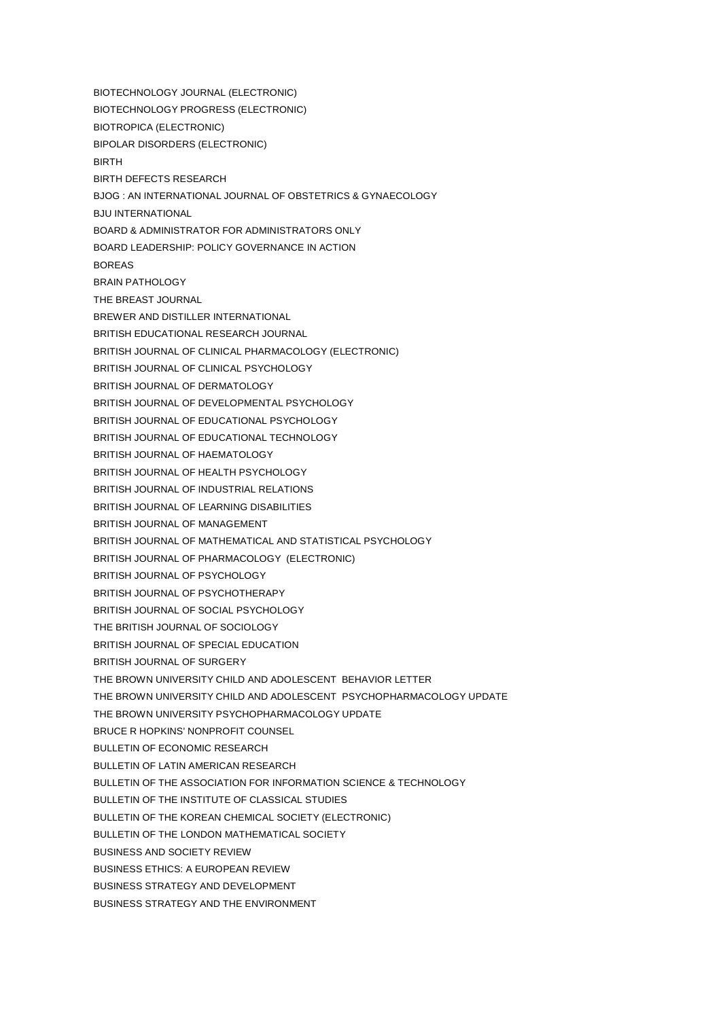BIOTECHNOLOGY JOURNAL (ELECTRONIC) BIOTECHNOLOGY PROGRESS (ELECTRONIC) BIOTROPICA (ELECTRONIC) BIPOLAR DISORDERS (ELECTRONIC) BIRTH BIRTH DEFECTS RESEARCH BJOG : AN INTERNATIONAL JOURNAL OF OBSTETRICS & GYNAECOLOGY BJU INTERNATIONAL BOARD & ADMINISTRATOR FOR ADMINISTRATORS ONLY BOARD LEADERSHIP: POLICY GOVERNANCE IN ACTION BOREAS BRAIN PATHOLOGY THE BREAST JOURNAL BREWER AND DISTILLER INTERNATIONAL BRITISH EDUCATIONAL RESEARCH JOURNAL BRITISH JOURNAL OF CLINICAL PHARMACOLOGY (ELECTRONIC) BRITISH JOURNAL OF CLINICAL PSYCHOLOGY BRITISH JOURNAL OF DERMATOLOGY BRITISH JOURNAL OF DEVELOPMENTAL PSYCHOLOGY BRITISH JOURNAL OF EDUCATIONAL PSYCHOLOGY BRITISH JOURNAL OF EDUCATIONAL TECHNOLOGY BRITISH JOURNAL OF HAEMATOLOGY BRITISH JOURNAL OF HEALTH PSYCHOLOGY BRITISH JOURNAL OF INDUSTRIAL RELATIONS BRITISH JOURNAL OF LEARNING DISABILITIES BRITISH JOURNAL OF MANAGEMENT BRITISH JOURNAL OF MATHEMATICAL AND STATISTICAL PSYCHOLOGY BRITISH JOURNAL OF PHARMACOLOGY (ELECTRONIC) BRITISH JOURNAL OF PSYCHOLOGY BRITISH JOURNAL OF PSYCHOTHERAPY BRITISH JOURNAL OF SOCIAL PSYCHOLOGY THE BRITISH JOURNAL OF SOCIOLOGY BRITISH JOURNAL OF SPECIAL EDUCATION BRITISH JOURNAL OF SURGERY THE BROWN UNIVERSITY CHILD AND ADOLESCENT BEHAVIOR LETTER THE BROWN UNIVERSITY CHILD AND ADOLESCENT PSYCHOPHARMACOLOGY UPDATE THE BROWN UNIVERSITY PSYCHOPHARMACOLOGY UPDATE BRUCE R HOPKINS' NONPROFIT COUNSEL BULLETIN OF ECONOMIC RESEARCH BULLETIN OF LATIN AMERICAN RESEARCH BULLETIN OF THE ASSOCIATION FOR INFORMATION SCIENCE & TECHNOLOGY BULLETIN OF THE INSTITUTE OF CLASSICAL STUDIES BULLETIN OF THE KOREAN CHEMICAL SOCIETY (ELECTRONIC) BULLETIN OF THE LONDON MATHEMATICAL SOCIETY BUSINESS AND SOCIETY REVIEW BUSINESS ETHICS: A EUROPEAN REVIEW BUSINESS STRATEGY AND DEVELOPMENT BUSINESS STRATEGY AND THE ENVIRONMENT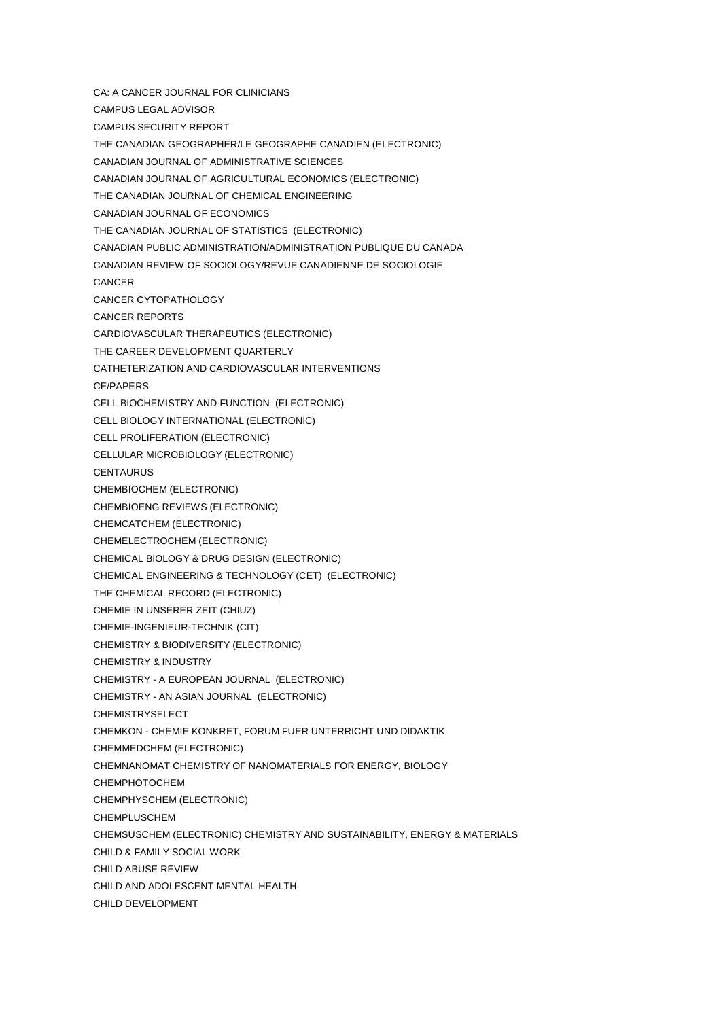- CA: A CANCER JOURNAL FOR CLINICIANS
- CAMPUS LEGAL ADVISOR
- CAMPUS SECURITY REPORT
- THE CANADIAN GEOGRAPHER/LE GEOGRAPHE CANADIEN (ELECTRONIC)
- CANADIAN JOURNAL OF ADMINISTRATIVE SCIENCES
- CANADIAN JOURNAL OF AGRICULTURAL ECONOMICS (ELECTRONIC)
- THE CANADIAN JOURNAL OF CHEMICAL ENGINEERING
- CANADIAN JOURNAL OF ECONOMICS
- THE CANADIAN JOURNAL OF STATISTICS (ELECTRONIC)
- CANADIAN PUBLIC ADMINISTRATION/ADMINISTRATION PUBLIQUE DU CANADA
- CANADIAN REVIEW OF SOCIOLOGY/REVUE CANADIENNE DE SOCIOLOGIE
- CANCER
- CANCER CYTOPATHOLOGY
- CANCER REPORTS
- CARDIOVASCULAR THERAPEUTICS (ELECTRONIC)
- THE CAREER DEVELOPMENT QUARTERLY
- CATHETERIZATION AND CARDIOVASCULAR INTERVENTIONS
- CE/PAPERS
- CELL BIOCHEMISTRY AND FUNCTION (ELECTRONIC)
- CELL BIOLOGY INTERNATIONAL (ELECTRONIC)
- CELL PROLIFERATION (ELECTRONIC)
- CELLULAR MICROBIOLOGY (ELECTRONIC)
- **CENTAURUS**
- CHEMBIOCHEM (ELECTRONIC)
- CHEMBIOENG REVIEWS (ELECTRONIC)
- CHEMCATCHEM (ELECTRONIC)
- CHEMELECTROCHEM (ELECTRONIC)
- CHEMICAL BIOLOGY & DRUG DESIGN (ELECTRONIC)
- CHEMICAL ENGINEERING & TECHNOLOGY (CET) (ELECTRONIC)
- THE CHEMICAL RECORD (ELECTRONIC)
- CHEMIE IN UNSERER ZEIT (CHIUZ)
- CHEMIE-INGENIEUR-TECHNIK (CIT)
- CHEMISTRY & BIODIVERSITY (ELECTRONIC)
- CHEMISTRY & INDUSTRY
- CHEMISTRY A EUROPEAN JOURNAL (ELECTRONIC)
- CHEMISTRY AN ASIAN JOURNAL (ELECTRONIC)
- CHEMISTRYSELECT
- CHEMKON CHEMIE KONKRET, FORUM FUER UNTERRICHT UND DIDAKTIK
- CHEMMEDCHEM (ELECTRONIC)
- CHEMNANOMAT CHEMISTRY OF NANOMATERIALS FOR ENERGY, BIOLOGY
- CHEMPHOTOCHEM
- CHEMPHYSCHEM (ELECTRONIC)
- CHEMPLUSCHEM
- CHEMSUSCHEM (ELECTRONIC) CHEMISTRY AND SUSTAINABILITY, ENERGY & MATERIALS
- CHILD & FAMILY SOCIAL WORK
- CHILD ABUSE REVIEW
- CHILD AND ADOLESCENT MENTAL HEALTH
- CHILD DEVELOPMENT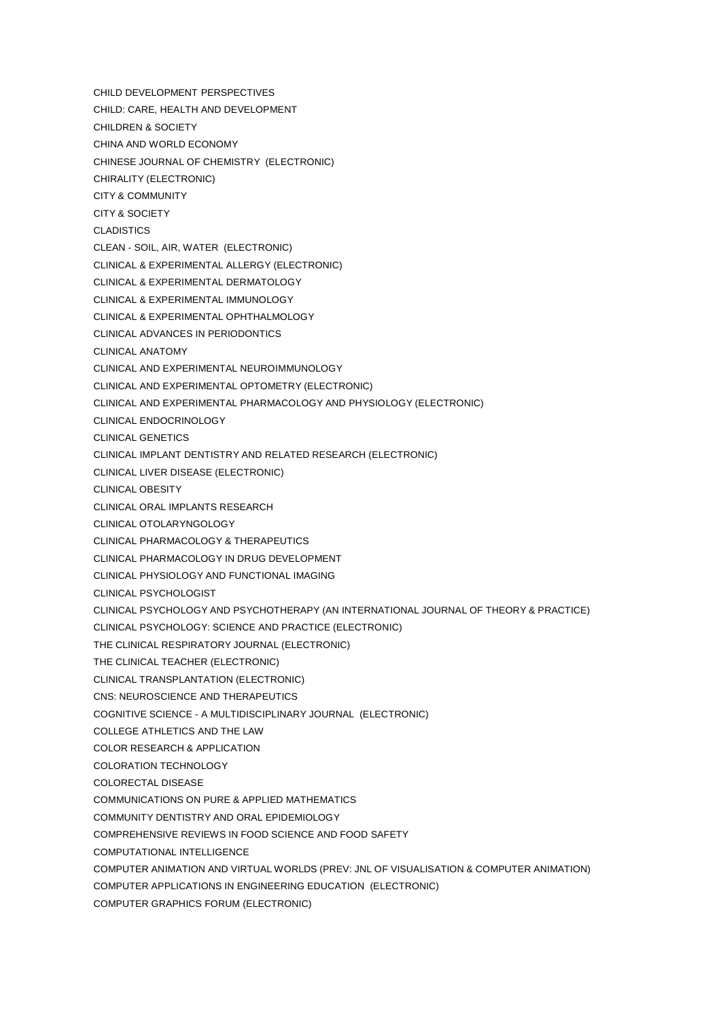CHILD DEVELOPMENT PERSPECTIVES CHILD: CARE, HEALTH AND DEVELOPMENT CHILDREN & SOCIETY CHINA AND WORLD ECONOMY CHINESE JOURNAL OF CHEMISTRY (ELECTRONIC) CHIRALITY (ELECTRONIC) CITY & COMMUNITY CITY & SOCIETY CLADISTICS CLEAN - SOIL, AIR, WATER (ELECTRONIC) CLINICAL & EXPERIMENTAL ALLERGY (ELECTRONIC) CLINICAL & EXPERIMENTAL DERMATOLOGY CLINICAL & EXPERIMENTAL IMMUNOLOGY CLINICAL & EXPERIMENTAL OPHTHALMOLOGY CLINICAL ADVANCES IN PERIODONTICS CLINICAL ANATOMY CLINICAL AND EXPERIMENTAL NEUROIMMUNOLOGY CLINICAL AND EXPERIMENTAL OPTOMETRY (ELECTRONIC) CLINICAL AND EXPERIMENTAL PHARMACOLOGY AND PHYSIOLOGY (ELECTRONIC) CLINICAL ENDOCRINOLOGY CLINICAL GENETICS CLINICAL IMPLANT DENTISTRY AND RELATED RESEARCH (ELECTRONIC) CLINICAL LIVER DISEASE (ELECTRONIC) CLINICAL OBESITY CLINICAL ORAL IMPLANTS RESEARCH CLINICAL OTOLARYNGOLOGY CLINICAL PHARMACOLOGY & THERAPEUTICS CLINICAL PHARMACOLOGY IN DRUG DEVELOPMENT CLINICAL PHYSIOLOGY AND FUNCTIONAL IMAGING CLINICAL PSYCHOLOGIST CLINICAL PSYCHOLOGY AND PSYCHOTHERAPY (AN INTERNATIONAL JOURNAL OF THEORY & PRACTICE) CLINICAL PSYCHOLOGY: SCIENCE AND PRACTICE (ELECTRONIC) THE CLINICAL RESPIRATORY JOURNAL (ELECTRONIC) THE CLINICAL TEACHER (ELECTRONIC) CLINICAL TRANSPLANTATION (ELECTRONIC) CNS: NEUROSCIENCE AND THERAPEUTICS COGNITIVE SCIENCE - A MULTIDISCIPLINARY JOURNAL (ELECTRONIC) COLLEGE ATHLETICS AND THE LAW COLOR RESEARCH & APPLICATION COLORATION TECHNOLOGY COLORECTAL DISEASE COMMUNICATIONS ON PURE & APPLIED MATHEMATICS COMMUNITY DENTISTRY AND ORAL EPIDEMIOLOGY COMPREHENSIVE REVIEWS IN FOOD SCIENCE AND FOOD SAFETY COMPUTATIONAL INTELLIGENCE COMPUTER ANIMATION AND VIRTUAL WORLDS (PREV: JNL OF VISUALISATION & COMPUTER ANIMATION) COMPUTER APPLICATIONS IN ENGINEERING EDUCATION (ELECTRONIC) COMPUTER GRAPHICS FORUM (ELECTRONIC)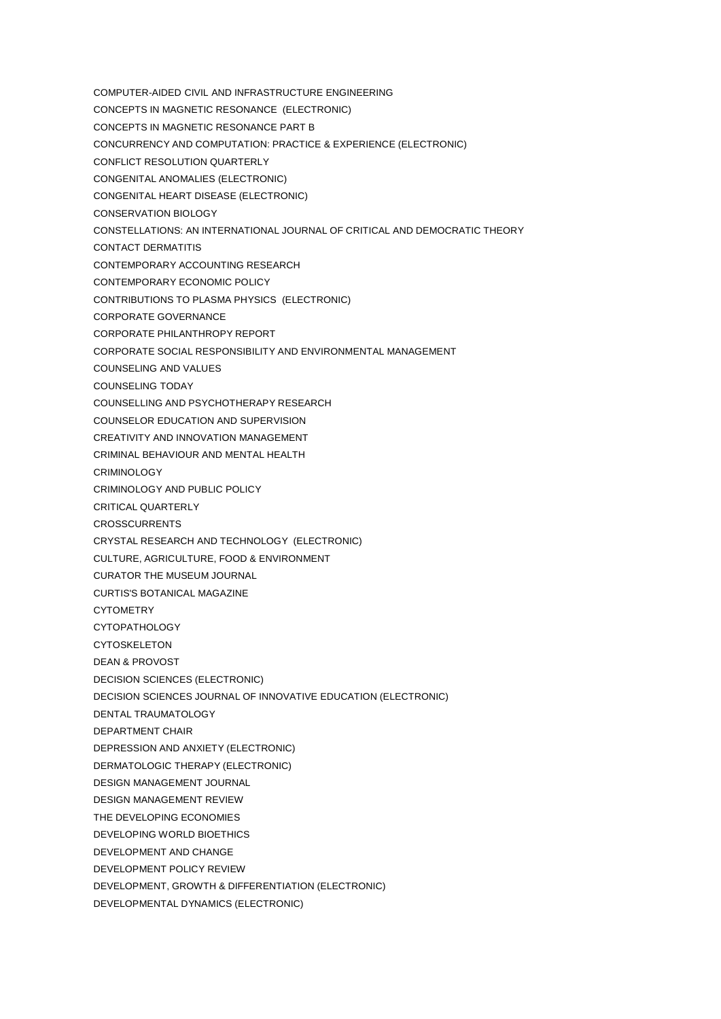- COMPUTER-AIDED CIVIL AND INFRASTRUCTURE ENGINEERING
- CONCEPTS IN MAGNETIC RESONANCE (ELECTRONIC)
- CONCEPTS IN MAGNETIC RESONANCE PART B
- CONCURRENCY AND COMPUTATION: PRACTICE & EXPERIENCE (ELECTRONIC)
- CONFLICT RESOLUTION QUARTERLY
- CONGENITAL ANOMALIES (ELECTRONIC)
- CONGENITAL HEART DISEASE (ELECTRONIC)
- CONSERVATION BIOLOGY
- CONSTELLATIONS: AN INTERNATIONAL JOURNAL OF CRITICAL AND DEMOCRATIC THEORY
- CONTACT DERMATITIS
- CONTEMPORARY ACCOUNTING RESEARCH
- CONTEMPORARY ECONOMIC POLICY
- CONTRIBUTIONS TO PLASMA PHYSICS (ELECTRONIC)
- CORPORATE GOVERNANCE
- CORPORATE PHILANTHROPY REPORT
- CORPORATE SOCIAL RESPONSIBILITY AND ENVIRONMENTAL MANAGEMENT
- COUNSELING AND VALUES
- COUNSELING TODAY
- COUNSELLING AND PSYCHOTHERAPY RESEARCH
- COUNSELOR EDUCATION AND SUPERVISION
- CREATIVITY AND INNOVATION MANAGEMENT
- CRIMINAL BEHAVIOUR AND MENTAL HEALTH
- **CRIMINOLOGY**
- CRIMINOLOGY AND PUBLIC POLICY
- CRITICAL QUARTERLY
- **CROSSCURRENTS**
- CRYSTAL RESEARCH AND TECHNOLOGY (ELECTRONIC)
- CULTURE, AGRICULTURE, FOOD & ENVIRONMENT
- CURATOR THE MUSEUM JOURNAL
- CURTIS'S BOTANICAL MAGAZINE
- **CYTOMETRY**
- CYTOPATHOLOGY
- CYTOSKELETON
- DEAN & PROVOST
- DECISION SCIENCES (ELECTRONIC)
- DECISION SCIENCES JOURNAL OF INNOVATIVE EDUCATION (ELECTRONIC)
- DENTAL TRAUMATOLOGY
- DEPARTMENT CHAIR
- DEPRESSION AND ANXIETY (ELECTRONIC)
- DERMATOLOGIC THERAPY (ELECTRONIC)
- DESIGN MANAGEMENT JOURNAL
- DESIGN MANAGEMENT REVIEW
- THE DEVELOPING ECONOMIES
- DEVELOPING WORLD BIOETHICS
- DEVELOPMENT AND CHANGE
- DEVELOPMENT POLICY REVIEW
- DEVELOPMENT, GROWTH & DIFFERENTIATION (ELECTRONIC)
- DEVELOPMENTAL DYNAMICS (ELECTRONIC)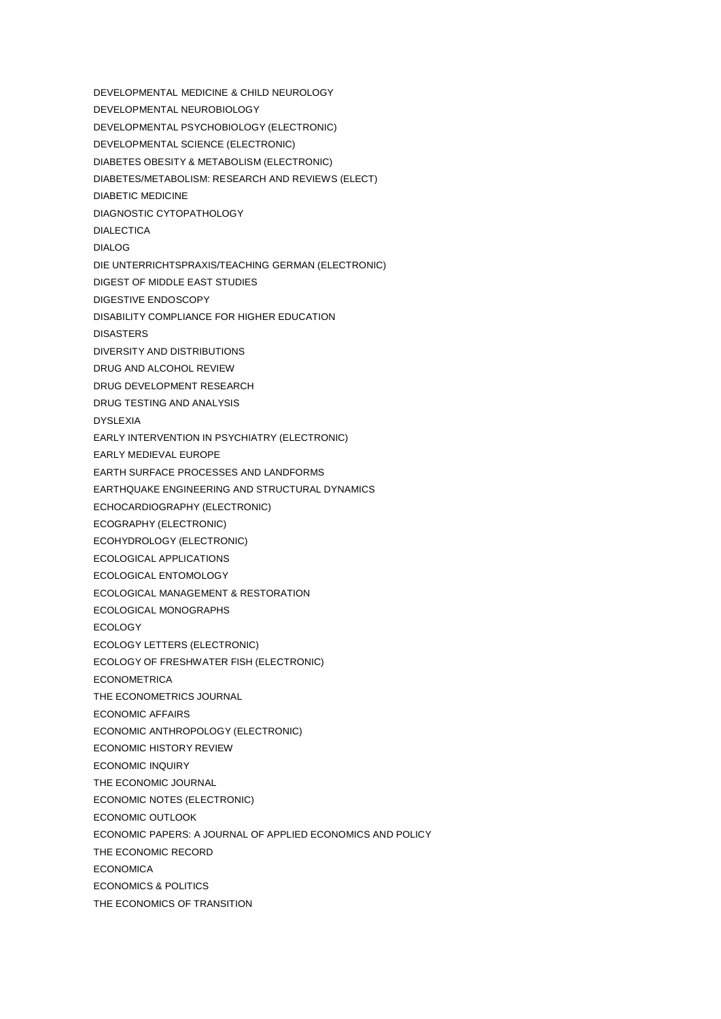DEVELOPMENTAL MEDICINE & CHILD NEUROLOGY DEVELOPMENTAL NEUROBIOLOGY DEVELOPMENTAL PSYCHOBIOLOGY (ELECTRONIC) DEVELOPMENTAL SCIENCE (ELECTRONIC) DIABETES OBESITY & METABOLISM (ELECTRONIC) DIABETES/METABOLISM: RESEARCH AND REVIEWS (ELECT) DIABETIC MEDICINE DIAGNOSTIC CYTOPATHOLOGY DIALECTICA DIALOG DIE UNTERRICHTSPRAXIS/TEACHING GERMAN (ELECTRONIC) DIGEST OF MIDDLE EAST STUDIES DIGESTIVE ENDOSCOPY DISABILITY COMPLIANCE FOR HIGHER EDUCATION DISASTERS DIVERSITY AND DISTRIBUTIONS DRUG AND ALCOHOL REVIEW DRUG DEVELOPMENT RESEARCH DRUG TESTING AND ANALYSIS DYSLEXIA EARLY INTERVENTION IN PSYCHIATRY (ELECTRONIC) EARLY MEDIEVAL EUROPE EARTH SURFACE PROCESSES AND LANDFORMS EARTHQUAKE ENGINEERING AND STRUCTURAL DYNAMICS ECHOCARDIOGRAPHY (ELECTRONIC) ECOGRAPHY (ELECTRONIC) ECOHYDROLOGY (ELECTRONIC) ECOLOGICAL APPLICATIONS ECOLOGICAL ENTOMOLOGY ECOLOGICAL MANAGEMENT & RESTORATION ECOLOGICAL MONOGRAPHS ECOLOGY ECOLOGY LETTERS (ELECTRONIC) ECOLOGY OF FRESHWATER FISH (ELECTRONIC) **ECONOMETRICA** THE ECONOMETRICS JOURNAL ECONOMIC AFFAIRS ECONOMIC ANTHROPOLOGY (ELECTRONIC) ECONOMIC HISTORY REVIEW ECONOMIC INQUIRY THE ECONOMIC JOURNAL ECONOMIC NOTES (ELECTRONIC) ECONOMIC OUTLOOK ECONOMIC PAPERS: A JOURNAL OF APPLIED ECONOMICS AND POLICY THE ECONOMIC RECORD **ECONOMICA** ECONOMICS & POLITICS THE ECONOMICS OF TRANSITION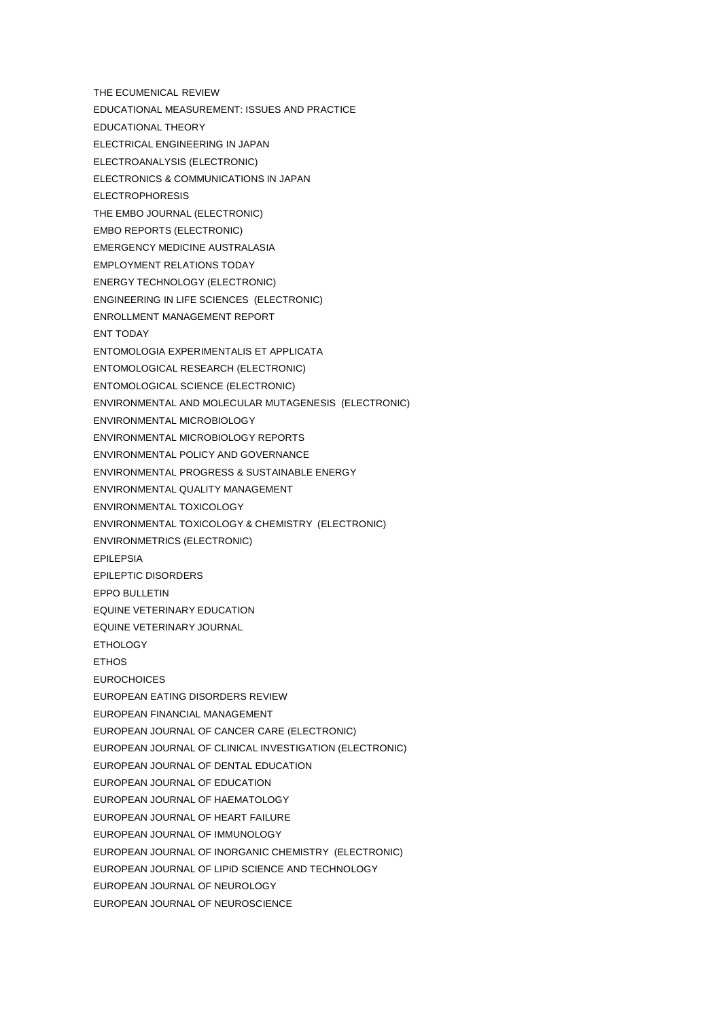THE ECUMENICAL REVIEW EDUCATIONAL MEASUREMENT: ISSUES AND PRACTICE EDUCATIONAL THEORY ELECTRICAL ENGINEERING IN JAPAN ELECTROANALYSIS (ELECTRONIC) ELECTRONICS & COMMUNICATIONS IN JAPAN ELECTROPHORESIS THE EMBO JOURNAL (ELECTRONIC) EMBO REPORTS (ELECTRONIC) EMERGENCY MEDICINE AUSTRALASIA EMPLOYMENT RELATIONS TODAY ENERGY TECHNOLOGY (ELECTRONIC) ENGINEERING IN LIFE SCIENCES (ELECTRONIC) ENROLLMENT MANAGEMENT REPORT ENT TODAY ENTOMOLOGIA EXPERIMENTALIS ET APPLICATA ENTOMOLOGICAL RESEARCH (ELECTRONIC) ENTOMOLOGICAL SCIENCE (ELECTRONIC) ENVIRONMENTAL AND MOLECULAR MUTAGENESIS (ELECTRONIC) ENVIRONMENTAL MICROBIOLOGY ENVIRONMENTAL MICROBIOLOGY REPORTS ENVIRONMENTAL POLICY AND GOVERNANCE ENVIRONMENTAL PROGRESS & SUSTAINABLE ENERGY ENVIRONMENTAL QUALITY MANAGEMENT ENVIRONMENTAL TOXICOLOGY ENVIRONMENTAL TOXICOLOGY & CHEMISTRY (ELECTRONIC) ENVIRONMETRICS (ELECTRONIC) EPILEPSIA EPILEPTIC DISORDERS EPPO BULLETIN EQUINE VETERINARY EDUCATION EQUINE VETERINARY JOURNAL ETHOLOGY **FTHOS EUROCHOICES** EUROPEAN EATING DISORDERS REVIEW EUROPEAN FINANCIAL MANAGEMENT EUROPEAN JOURNAL OF CANCER CARE (ELECTRONIC) EUROPEAN JOURNAL OF CLINICAL INVESTIGATION (ELECTRONIC) EUROPEAN JOURNAL OF DENTAL EDUCATION EUROPEAN JOURNAL OF EDUCATION EUROPEAN JOURNAL OF HAEMATOLOGY EUROPEAN JOURNAL OF HEART FAILURE EUROPEAN JOURNAL OF IMMUNOLOGY EUROPEAN JOURNAL OF INORGANIC CHEMISTRY (ELECTRONIC) EUROPEAN JOURNAL OF LIPID SCIENCE AND TECHNOLOGY EUROPEAN JOURNAL OF NEUROLOGY EUROPEAN JOURNAL OF NEUROSCIENCE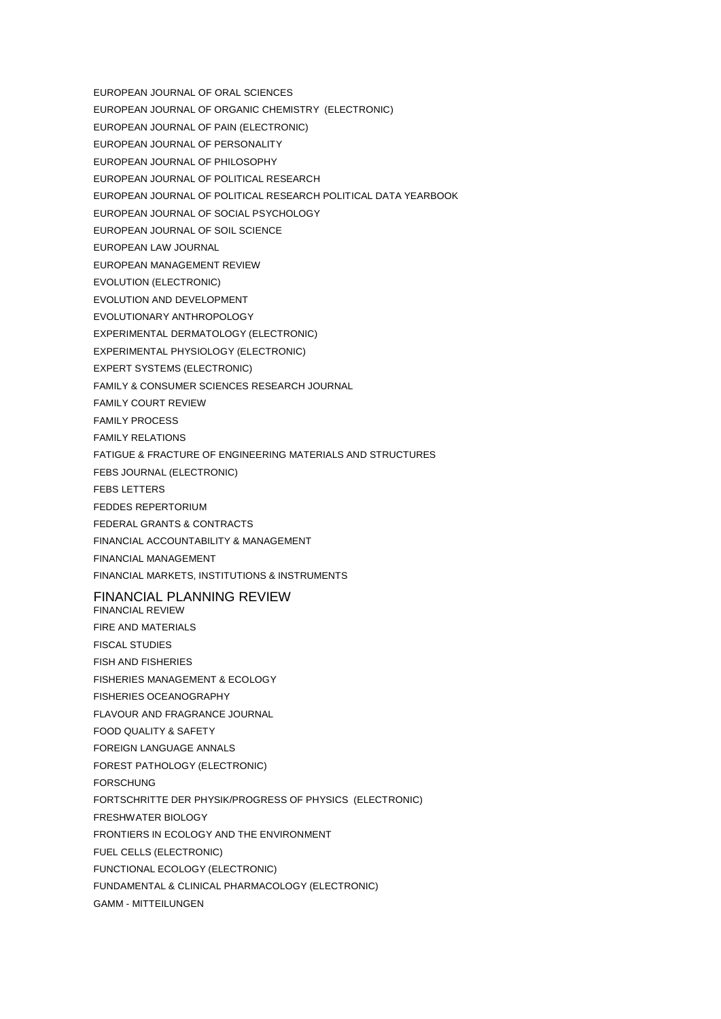- EUROPEAN JOURNAL OF ORAL SCIENCES
- EUROPEAN JOURNAL OF ORGANIC CHEMISTRY (ELECTRONIC)
- EUROPEAN JOURNAL OF PAIN (ELECTRONIC)
- EUROPEAN JOURNAL OF PERSONALITY
- EUROPEAN JOURNAL OF PHILOSOPHY
- EUROPEAN JOURNAL OF POLITICAL RESEARCH
- EUROPEAN JOURNAL OF POLITICAL RESEARCH POLITICAL DATA YEARBOOK
- EUROPEAN JOURNAL OF SOCIAL PSYCHOLOGY
- EUROPEAN JOURNAL OF SOIL SCIENCE
- EUROPEAN LAW JOURNAL
- EUROPEAN MANAGEMENT REVIEW
- EVOLUTION (ELECTRONIC)
- EVOLUTION AND DEVELOPMENT
- EVOLUTIONARY ANTHROPOLOGY
- EXPERIMENTAL DERMATOLOGY (ELECTRONIC)
- EXPERIMENTAL PHYSIOLOGY (ELECTRONIC)
- EXPERT SYSTEMS (ELECTRONIC)
- FAMILY & CONSUMER SCIENCES RESEARCH JOURNAL
- FAMILY COURT REVIEW
- FAMILY PROCESS
- FAMILY RELATIONS
- FATIGUE & FRACTURE OF ENGINEERING MATERIALS AND STRUCTURES
- FEBS JOURNAL (ELECTRONIC)
- FEBS LETTERS
- FEDDES REPERTORIUM
- FEDERAL GRANTS & CONTRACTS
- FINANCIAL ACCOUNTABILITY & MANAGEMENT
- FINANCIAL MANAGEMENT
- FINANCIAL MARKETS, INSTITUTIONS & INSTRUMENTS

## FINANCIAL PLANNING REVIEW

- FINANCIAL REVIEW FIRE AND MATERIALS
- FISCAL STUDIES
- FISH AND FISHERIES
- FISHERIES MANAGEMENT & ECOLOGY
- FISHERIES OCEANOGRAPHY
- FLAVOUR AND FRAGRANCE JOURNAL
- FOOD QUALITY & SAFETY
- FOREIGN LANGUAGE ANNALS
- FOREST PATHOLOGY (ELECTRONIC)
- FORSCHUNG
- FORTSCHRITTE DER PHYSIK/PROGRESS OF PHYSICS (ELECTRONIC)
- FRESHWATER BIOLOGY
- FRONTIERS IN ECOLOGY AND THE ENVIRONMENT
- FUEL CELLS (ELECTRONIC)
- FUNCTIONAL ECOLOGY (ELECTRONIC)
- FUNDAMENTAL & CLINICAL PHARMACOLOGY (ELECTRONIC)
- GAMM MITTEILUNGEN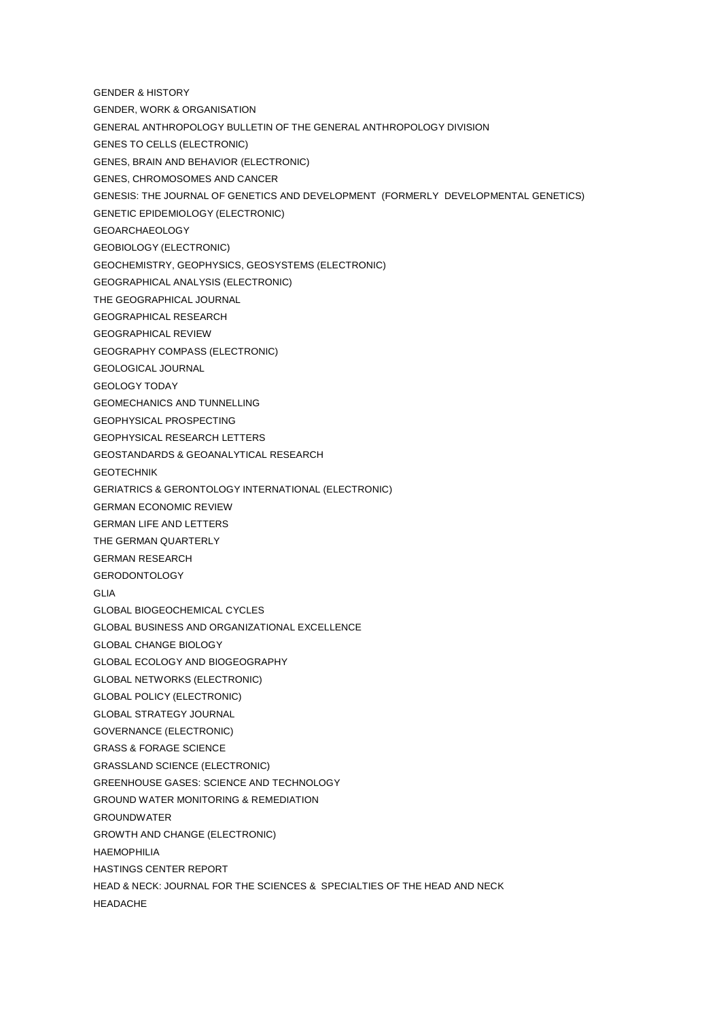- GENDER & HISTORY
- GENDER, WORK & ORGANISATION
- GENERAL ANTHROPOLOGY BULLETIN OF THE GENERAL ANTHROPOLOGY DIVISION
- GENES TO CELLS (ELECTRONIC)
- GENES, BRAIN AND BEHAVIOR (ELECTRONIC)
- GENES, CHROMOSOMES AND CANCER
- GENESIS: THE JOURNAL OF GENETICS AND DEVELOPMENT (FORMERLY DEVELOPMENTAL GENETICS)
- GENETIC EPIDEMIOLOGY (ELECTRONIC)
- GEOARCHAEOLOGY
- GEOBIOLOGY (ELECTRONIC)
- GEOCHEMISTRY, GEOPHYSICS, GEOSYSTEMS (ELECTRONIC)
- GEOGRAPHICAL ANALYSIS (ELECTRONIC)
- THE GEOGRAPHICAL JOURNAL
- GEOGRAPHICAL RESEARCH
- GEOGRAPHICAL REVIEW
- GEOGRAPHY COMPASS (ELECTRONIC)
- GEOLOGICAL JOURNAL
- GEOLOGY TODAY
- GEOMECHANICS AND TUNNELLING
- GEOPHYSICAL PROSPECTING
- GEOPHYSICAL RESEARCH LETTERS
- GEOSTANDARDS & GEOANALYTICAL RESEARCH
- GEOTECHNIK
- GERIATRICS & GERONTOLOGY INTERNATIONAL (ELECTRONIC)
- GERMAN ECONOMIC REVIEW
- GERMAN LIFE AND LETTERS
- THE GERMAN QUARTERLY
- GERMAN RESEARCH
- GERODONTOLOGY
- GLIA
- GLOBAL BIOGEOCHEMICAL CYCLES
- GLOBAL BUSINESS AND ORGANIZATIONAL EXCELLENCE
- GLOBAL CHANGE BIOLOGY
- GLOBAL ECOLOGY AND BIOGEOGRAPHY
- GLOBAL NETWORKS (ELECTRONIC)
- GLOBAL POLICY (ELECTRONIC)
- GLOBAL STRATEGY JOURNAL
- GOVERNANCE (ELECTRONIC)
- GRASS & FORAGE SCIENCE
- GRASSLAND SCIENCE (ELECTRONIC)
- GREENHOUSE GASES: SCIENCE AND TECHNOLOGY
- GROUND WATER MONITORING & REMEDIATION
- GROUNDWATER
- GROWTH AND CHANGE (ELECTRONIC)
- HAEMOPHILIA
- HASTINGS CENTER REPORT
- HEAD & NECK: JOURNAL FOR THE SCIENCES & SPECIALTIES OF THE HEAD AND NECK
- HEADACHE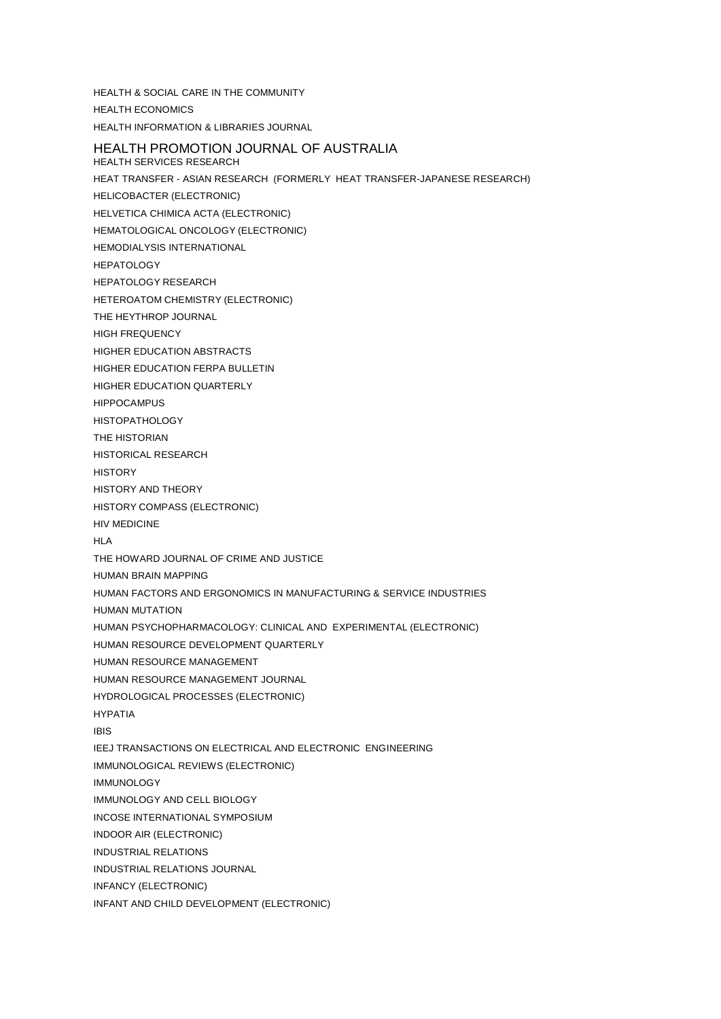HEALTH & SOCIAL CARE IN THE COMMUNITY HEALTH ECONOMICS HEALTH INFORMATION & LIBRARIES JOURNAL HEALTH PROMOTION JOURNAL OF AUSTRALIA HEALTH SERVICES RESEARCH HEAT TRANSFER - ASIAN RESEARCH (FORMERLY HEAT TRANSFER-JAPANESE RESEARCH) HELICOBACTER (ELECTRONIC) HELVETICA CHIMICA ACTA (ELECTRONIC) HEMATOLOGICAL ONCOLOGY (ELECTRONIC) HEMODIALYSIS INTERNATIONAL **HEPATOLOGY** HEPATOLOGY RESEARCH HETEROATOM CHEMISTRY (ELECTRONIC) THE HEYTHROP JOURNAL HIGH FREQUENCY HIGHER EDUCATION ABSTRACTS HIGHER EDUCATION FERPA BULLETIN HIGHER EDUCATION QUARTERLY HIPPOCAMPUS **HISTOPATHOLOGY** THE HISTORIAN HISTORICAL RESEARCH **HISTORY** HISTORY AND THEORY HISTORY COMPASS (ELECTRONIC) HIV MEDICINE HI A THE HOWARD JOURNAL OF CRIME AND JUSTICE HUMAN BRAIN MAPPING HUMAN FACTORS AND ERGONOMICS IN MANUFACTURING & SERVICE INDUSTRIES HUMAN MUTATION HUMAN PSYCHOPHARMACOLOGY: CLINICAL AND EXPERIMENTAL (ELECTRONIC) HUMAN RESOURCE DEVELOPMENT QUARTERLY HUMAN RESOURCE MANAGEMENT HUMAN RESOURCE MANAGEMENT JOURNAL HYDROLOGICAL PROCESSES (ELECTRONIC) HYPATIA IBIS IEEJ TRANSACTIONS ON ELECTRICAL AND ELECTRONIC ENGINEERING IMMUNOLOGICAL REVIEWS (ELECTRONIC) IMMUNOLOGY IMMUNOLOGY AND CELL BIOLOGY INCOSE INTERNATIONAL SYMPOSIUM INDOOR AIR (ELECTRONIC) INDUSTRIAL RELATIONS INDUSTRIAL RELATIONS JOURNAL INFANCY (ELECTRONIC) INFANT AND CHILD DEVELOPMENT (ELECTRONIC)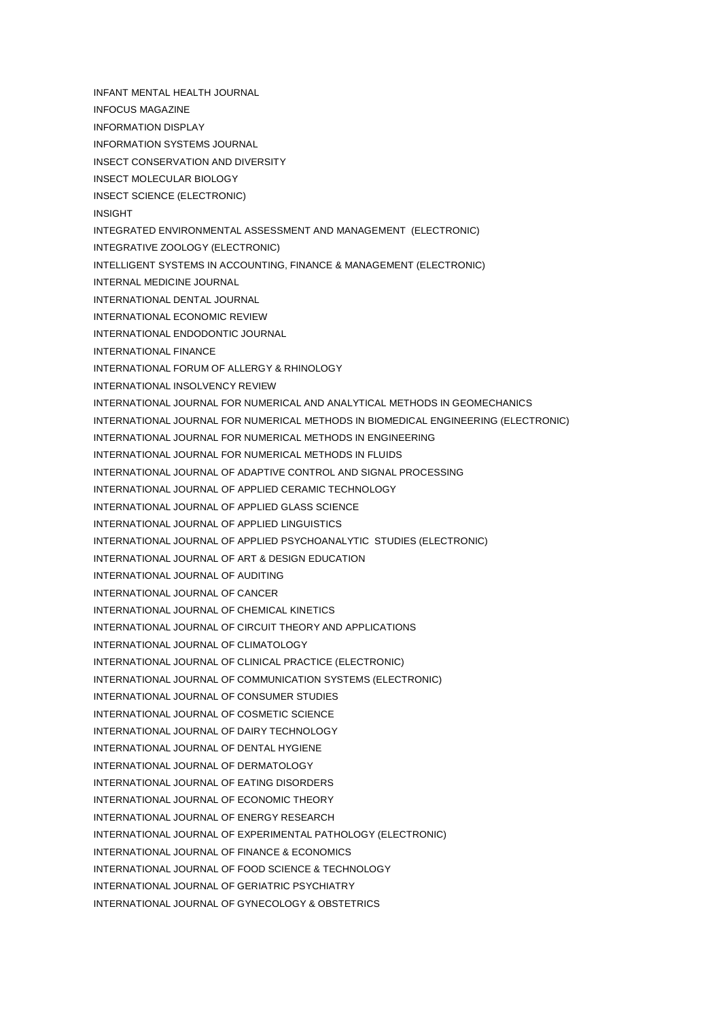INFANT MENTAL HEALTH JOURNAL

- INFOCUS MAGAZINE
- INFORMATION DISPLAY
- INFORMATION SYSTEMS JOURNAL
- INSECT CONSERVATION AND DIVERSITY
- INSECT MOLECULAR BIOLOGY
- INSECT SCIENCE (ELECTRONIC)
- INSIGHT
- INTEGRATED ENVIRONMENTAL ASSESSMENT AND MANAGEMENT (ELECTRONIC)
- INTEGRATIVE ZOOLOGY (ELECTRONIC)
- INTELLIGENT SYSTEMS IN ACCOUNTING, FINANCE & MANAGEMENT (ELECTRONIC)
- INTERNAL MEDICINE JOURNAL
- INTERNATIONAL DENTAL JOURNAL
- INTERNATIONAL ECONOMIC REVIEW
- INTERNATIONAL ENDODONTIC JOURNAL
- INTERNATIONAL FINANCE
- INTERNATIONAL FORUM OF ALLERGY & RHINOLOGY
- INTERNATIONAL INSOLVENCY REVIEW
- INTERNATIONAL JOURNAL FOR NUMERICAL AND ANALYTICAL METHODS IN GEOMECHANICS
- INTERNATIONAL JOURNAL FOR NUMERICAL METHODS IN BIOMEDICAL ENGINEERING (ELECTRONIC)
- INTERNATIONAL JOURNAL FOR NUMERICAL METHODS IN ENGINEERING
- INTERNATIONAL JOURNAL FOR NUMERICAL METHODS IN FLUIDS
- INTERNATIONAL JOURNAL OF ADAPTIVE CONTROL AND SIGNAL PROCESSING
- INTERNATIONAL JOURNAL OF APPLIED CERAMIC TECHNOLOGY
- INTERNATIONAL JOURNAL OF APPLIED GLASS SCIENCE
- INTERNATIONAL JOURNAL OF APPLIED LINGUISTICS
- INTERNATIONAL JOURNAL OF APPLIED PSYCHOANALYTIC STUDIES (ELECTRONIC)
- INTERNATIONAL JOURNAL OF ART & DESIGN EDUCATION
- INTERNATIONAL JOURNAL OF AUDITING
- INTERNATIONAL JOURNAL OF CANCER
- INTERNATIONAL JOURNAL OF CHEMICAL KINETICS
- INTERNATIONAL JOURNAL OF CIRCUIT THEORY AND APPLICATIONS
- INTERNATIONAL JOURNAL OF CLIMATOLOGY
- INTERNATIONAL JOURNAL OF CLINICAL PRACTICE (ELECTRONIC)
- INTERNATIONAL JOURNAL OF COMMUNICATION SYSTEMS (ELECTRONIC)
- INTERNATIONAL JOURNAL OF CONSUMER STUDIES
- INTERNATIONAL JOURNAL OF COSMETIC SCIENCE
- INTERNATIONAL JOURNAL OF DAIRY TECHNOLOGY
- INTERNATIONAL JOURNAL OF DENTAL HYGIENE
- INTERNATIONAL JOURNAL OF DERMATOLOGY
- INTERNATIONAL JOURNAL OF EATING DISORDERS
- INTERNATIONAL JOURNAL OF ECONOMIC THEORY
- INTERNATIONAL JOURNAL OF ENERGY RESEARCH
- INTERNATIONAL JOURNAL OF EXPERIMENTAL PATHOLOGY (ELECTRONIC)
- INTERNATIONAL JOURNAL OF FINANCE & ECONOMICS
- INTERNATIONAL JOURNAL OF FOOD SCIENCE & TECHNOLOGY
- INTERNATIONAL JOURNAL OF GERIATRIC PSYCHIATRY
- INTERNATIONAL JOURNAL OF GYNECOLOGY & OBSTETRICS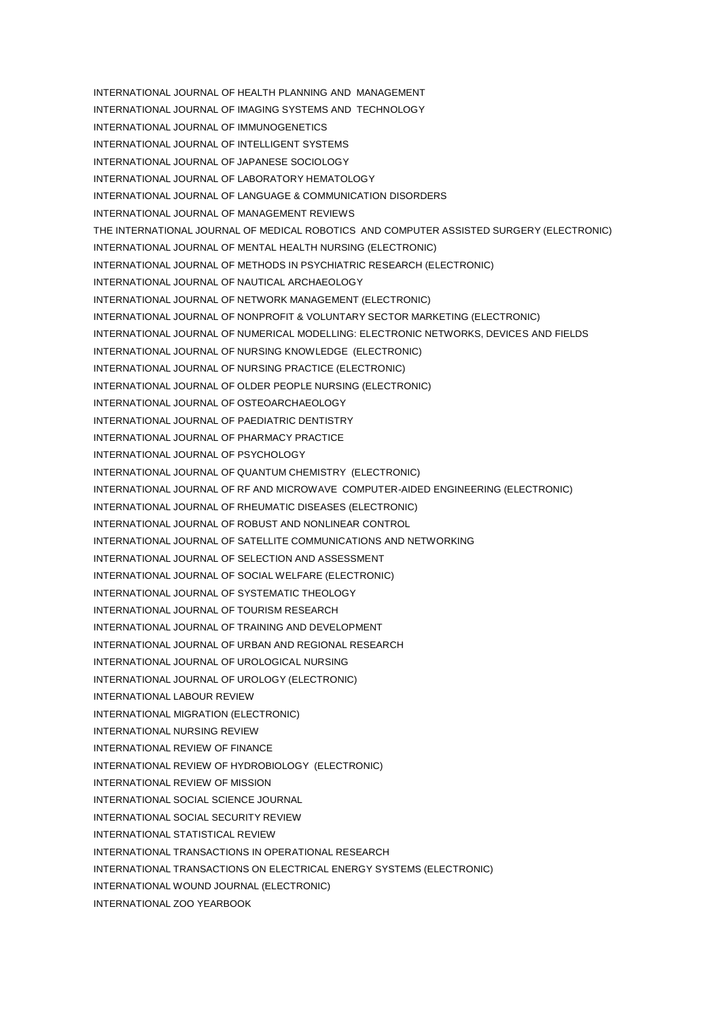INTERNATIONAL JOURNAL OF HEALTH PLANNING AND MANAGEMENT INTERNATIONAL JOURNAL OF IMAGING SYSTEMS AND TECHNOLOGY INTERNATIONAL JOURNAL OF IMMUNOGENETICS INTERNATIONAL JOURNAL OF INTELLIGENT SYSTEMS INTERNATIONAL JOURNAL OF JAPANESE SOCIOLOGY INTERNATIONAL JOURNAL OF LABORATORY HEMATOLOGY INTERNATIONAL JOURNAL OF LANGUAGE & COMMUNICATION DISORDERS INTERNATIONAL JOURNAL OF MANAGEMENT REVIEWS THE INTERNATIONAL JOURNAL OF MEDICAL ROBOTICS AND COMPUTER ASSISTED SURGERY (ELECTRONIC) INTERNATIONAL JOURNAL OF MENTAL HEALTH NURSING (ELECTRONIC) INTERNATIONAL JOURNAL OF METHODS IN PSYCHIATRIC RESEARCH (ELECTRONIC) INTERNATIONAL JOURNAL OF NAUTICAL ARCHAEOLOGY INTERNATIONAL JOURNAL OF NETWORK MANAGEMENT (ELECTRONIC) INTERNATIONAL JOURNAL OF NONPROFIT & VOLUNTARY SECTOR MARKETING (ELECTRONIC) INTERNATIONAL JOURNAL OF NUMERICAL MODELLING: ELECTRONIC NETWORKS, DEVICES AND FIELDS INTERNATIONAL JOURNAL OF NURSING KNOWLEDGE (ELECTRONIC) INTERNATIONAL JOURNAL OF NURSING PRACTICE (ELECTRONIC) INTERNATIONAL JOURNAL OF OLDER PEOPLE NURSING (ELECTRONIC) INTERNATIONAL JOURNAL OF OSTEOARCHAEOLOGY INTERNATIONAL JOURNAL OF PAEDIATRIC DENTISTRY INTERNATIONAL JOURNAL OF PHARMACY PRACTICE INTERNATIONAL JOURNAL OF PSYCHOLOGY INTERNATIONAL JOURNAL OF QUANTUM CHEMISTRY (ELECTRONIC) INTERNATIONAL JOURNAL OF RF AND MICROWAVE COMPUTER-AIDED ENGINEERING (ELECTRONIC) INTERNATIONAL JOURNAL OF RHEUMATIC DISEASES (ELECTRONIC) INTERNATIONAL JOURNAL OF ROBUST AND NONLINEAR CONTROL INTERNATIONAL JOURNAL OF SATELLITE COMMUNICATIONS AND NETWORKING INTERNATIONAL JOURNAL OF SELECTION AND ASSESSMENT INTERNATIONAL JOURNAL OF SOCIAL WELFARE (ELECTRONIC) INTERNATIONAL JOURNAL OF SYSTEMATIC THEOLOGY INTERNATIONAL JOURNAL OF TOURISM RESEARCH INTERNATIONAL JOURNAL OF TRAINING AND DEVELOPMENT INTERNATIONAL JOURNAL OF URBAN AND REGIONAL RESEARCH INTERNATIONAL JOURNAL OF UROLOGICAL NURSING INTERNATIONAL JOURNAL OF UROLOGY (ELECTRONIC) INTERNATIONAL LABOUR REVIEW INTERNATIONAL MIGRATION (ELECTRONIC) INTERNATIONAL NURSING REVIEW INTERNATIONAL REVIEW OF FINANCE INTERNATIONAL REVIEW OF HYDROBIOLOGY (ELECTRONIC) INTERNATIONAL REVIEW OF MISSION INTERNATIONAL SOCIAL SCIENCE JOURNAL INTERNATIONAL SOCIAL SECURITY REVIEW INTERNATIONAL STATISTICAL REVIEW INTERNATIONAL TRANSACTIONS IN OPERATIONAL RESEARCH INTERNATIONAL TRANSACTIONS ON ELECTRICAL ENERGY SYSTEMS (ELECTRONIC) INTERNATIONAL WOUND JOURNAL (ELECTRONIC) INTERNATIONAL ZOO YEARBOOK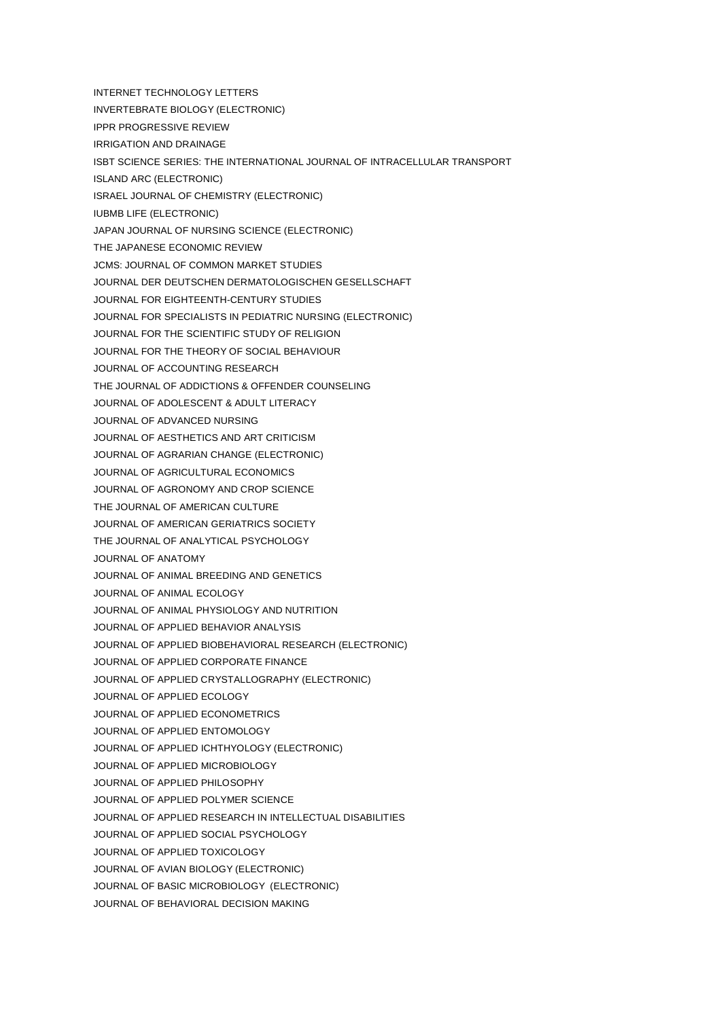INTERNET TECHNOLOGY LETTERS INVERTEBRATE BIOLOGY (ELECTRONIC) IPPR PROGRESSIVE REVIEW IRRIGATION AND DRAINAGE ISBT SCIENCE SERIES: THE INTERNATIONAL JOURNAL OF INTRACELLULAR TRANSPORT ISLAND ARC (ELECTRONIC) ISRAEL JOURNAL OF CHEMISTRY (ELECTRONIC) IUBMB LIFE (ELECTRONIC) JAPAN JOURNAL OF NURSING SCIENCE (ELECTRONIC) THE JAPANESE ECONOMIC REVIEW JCMS: JOURNAL OF COMMON MARKET STUDIES JOURNAL DER DEUTSCHEN DERMATOLOGISCHEN GESELLSCHAFT JOURNAL FOR EIGHTEENTH-CENTURY STUDIES JOURNAL FOR SPECIALISTS IN PEDIATRIC NURSING (ELECTRONIC) JOURNAL FOR THE SCIENTIFIC STUDY OF RELIGION JOURNAL FOR THE THEORY OF SOCIAL BEHAVIOUR JOURNAL OF ACCOUNTING RESEARCH THE JOURNAL OF ADDICTIONS & OFFENDER COUNSELING JOURNAL OF ADOLESCENT & ADULT LITERACY JOURNAL OF ADVANCED NURSING JOURNAL OF AESTHETICS AND ART CRITICISM JOURNAL OF AGRARIAN CHANGE (ELECTRONIC) JOURNAL OF AGRICULTURAL ECONOMICS JOURNAL OF AGRONOMY AND CROP SCIENCE THE JOURNAL OF AMERICAN CULTURE JOURNAL OF AMERICAN GERIATRICS SOCIETY THE JOURNAL OF ANALYTICAL PSYCHOLOGY JOURNAL OF ANATOMY JOURNAL OF ANIMAL BREEDING AND GENETICS JOURNAL OF ANIMAL ECOLOGY JOURNAL OF ANIMAL PHYSIOLOGY AND NUTRITION JOURNAL OF APPLIED BEHAVIOR ANALYSIS JOURNAL OF APPLIED BIOBEHAVIORAL RESEARCH (ELECTRONIC) JOURNAL OF APPLIED CORPORATE FINANCE JOURNAL OF APPLIED CRYSTALLOGRAPHY (ELECTRONIC) JOURNAL OF APPLIED ECOLOGY JOURNAL OF APPLIED ECONOMETRICS JOURNAL OF APPLIED ENTOMOLOGY JOURNAL OF APPLIED ICHTHYOLOGY (ELECTRONIC) JOURNAL OF APPLIED MICROBIOLOGY JOURNAL OF APPLIED PHILOSOPHY JOURNAL OF APPLIED POLYMER SCIENCE JOURNAL OF APPLIED RESEARCH IN INTELLECTUAL DISABILITIES JOURNAL OF APPLIED SOCIAL PSYCHOLOGY JOURNAL OF APPLIED TOXICOLOGY JOURNAL OF AVIAN BIOLOGY (ELECTRONIC) JOURNAL OF BASIC MICROBIOLOGY (ELECTRONIC) JOURNAL OF BEHAVIORAL DECISION MAKING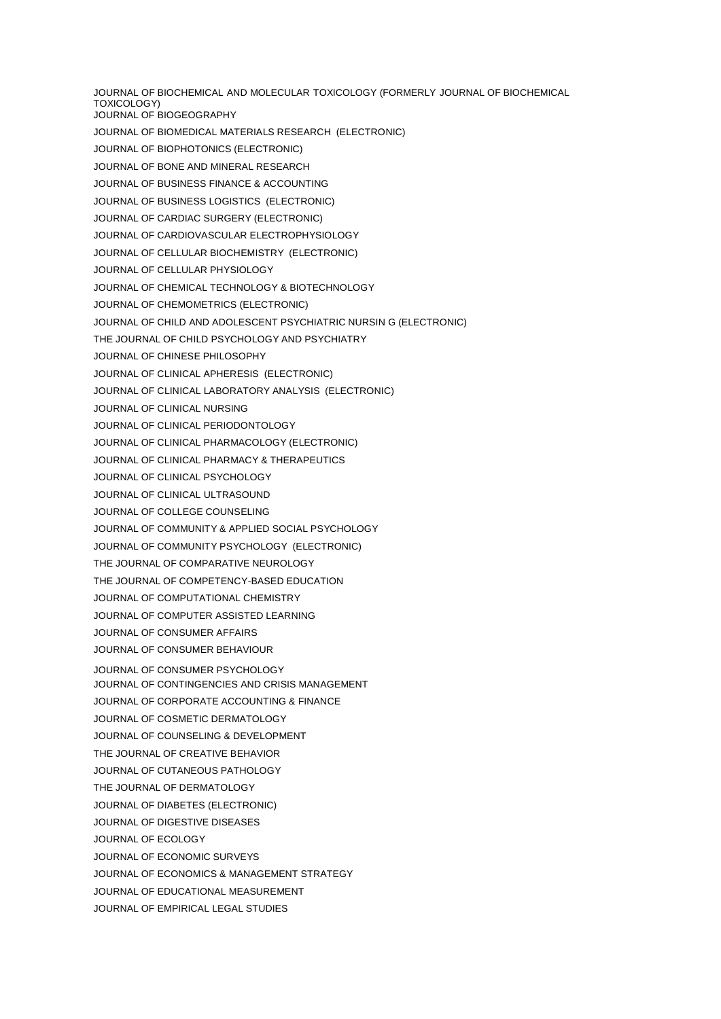JOURNAL OF BIOCHEMICAL AND MOLECULAR TOXICOLOGY (FORMERLY JOURNAL OF BIOCHEMICAL TOXICOLOGY) JOURNAL OF BIOGEOGRAPHY JOURNAL OF BIOMEDICAL MATERIALS RESEARCH (ELECTRONIC) JOURNAL OF BIOPHOTONICS (ELECTRONIC) JOURNAL OF BONE AND MINERAL RESEARCH JOURNAL OF BUSINESS FINANCE & ACCOUNTING JOURNAL OF BUSINESS LOGISTICS (ELECTRONIC) JOURNAL OF CARDIAC SURGERY (ELECTRONIC) JOURNAL OF CARDIOVASCULAR ELECTROPHYSIOLOGY JOURNAL OF CELLULAR BIOCHEMISTRY (ELECTRONIC) JOURNAL OF CELLULAR PHYSIOLOGY JOURNAL OF CHEMICAL TECHNOLOGY & BIOTECHNOLOGY JOURNAL OF CHEMOMETRICS (ELECTRONIC) JOURNAL OF CHILD AND ADOLESCENT PSYCHIATRIC NURSIN G (ELECTRONIC) THE JOURNAL OF CHILD PSYCHOLOGY AND PSYCHIATRY JOURNAL OF CHINESE PHILOSOPHY JOURNAL OF CLINICAL APHERESIS (ELECTRONIC) JOURNAL OF CLINICAL LABORATORY ANALYSIS (ELECTRONIC) JOURNAL OF CLINICAL NURSING JOURNAL OF CLINICAL PERIODONTOLOGY JOURNAL OF CLINICAL PHARMACOLOGY (ELECTRONIC) JOURNAL OF CLINICAL PHARMACY & THERAPEUTICS JOURNAL OF CLINICAL PSYCHOLOGY JOURNAL OF CLINICAL ULTRASOUND JOURNAL OF COLLEGE COUNSELING JOURNAL OF COMMUNITY & APPLIED SOCIAL PSYCHOLOGY JOURNAL OF COMMUNITY PSYCHOLOGY (ELECTRONIC) THE JOURNAL OF COMPARATIVE NEUROLOGY THE JOURNAL OF COMPETENCY-BASED EDUCATION JOURNAL OF COMPUTATIONAL CHEMISTRY JOURNAL OF COMPUTER ASSISTED LEARNING JOURNAL OF CONSUMER AFFAIRS JOURNAL OF CONSUMER BEHAVIOUR JOURNAL OF CONSUMER PSYCHOLOGY JOURNAL OF CONTINGENCIES AND CRISIS MANAGEMENT JOURNAL OF CORPORATE ACCOUNTING & FINANCE JOURNAL OF COSMETIC DERMATOLOGY JOURNAL OF COUNSELING & DEVELOPMENT THE JOURNAL OF CREATIVE BEHAVIOR JOURNAL OF CUTANEOUS PATHOLOGY THE JOURNAL OF DERMATOLOGY JOURNAL OF DIABETES (ELECTRONIC) JOURNAL OF DIGESTIVE DISEASES JOURNAL OF ECOLOGY JOURNAL OF ECONOMIC SURVEYS JOURNAL OF ECONOMICS & MANAGEMENT STRATEGY JOURNAL OF EDUCATIONAL MEASUREMENT JOURNAL OF EMPIRICAL LEGAL STUDIES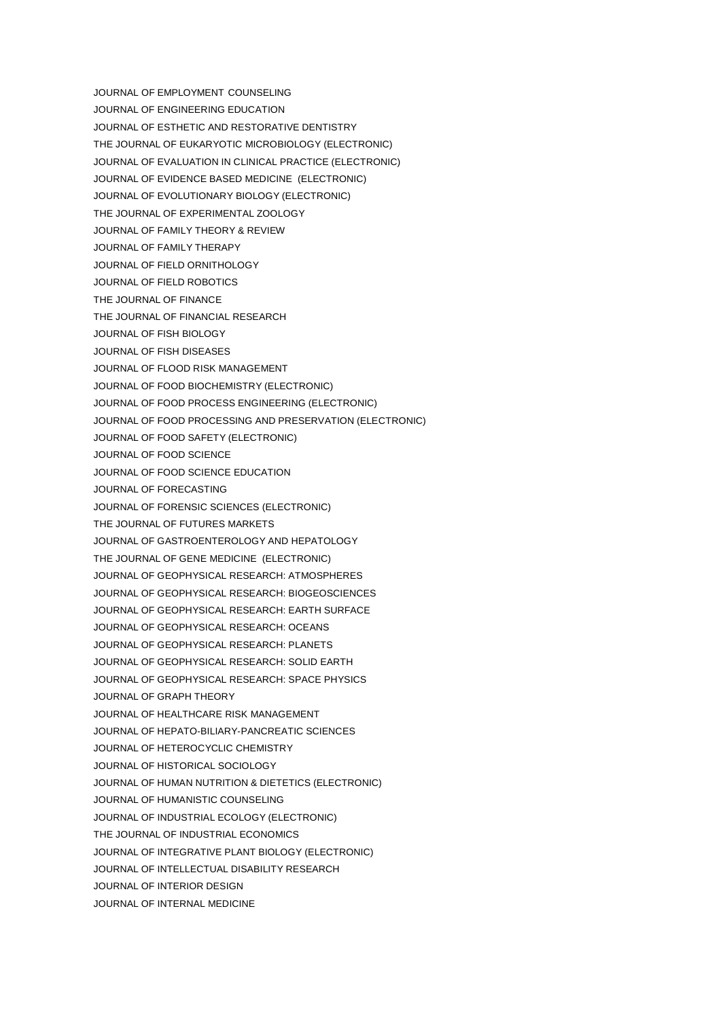JOURNAL OF EMPLOYMENT COUNSELING JOURNAL OF ENGINEERING EDUCATION JOURNAL OF ESTHETIC AND RESTORATIVE DENTISTRY THE JOURNAL OF EUKARYOTIC MICROBIOLOGY (ELECTRONIC) JOURNAL OF EVALUATION IN CLINICAL PRACTICE (ELECTRONIC) JOURNAL OF EVIDENCE BASED MEDICINE (ELECTRONIC) JOURNAL OF EVOLUTIONARY BIOLOGY (ELECTRONIC) THE JOURNAL OF EXPERIMENTAL ZOOLOGY JOURNAL OF FAMILY THEORY & REVIEW JOURNAL OF FAMILY THERAPY JOURNAL OF FIELD ORNITHOLOGY JOURNAL OF FIELD ROBOTICS THE JOURNAL OF FINANCE THE JOURNAL OF FINANCIAL RESEARCH JOURNAL OF FISH BIOLOGY JOURNAL OF FISH DISEASES JOURNAL OF FLOOD RISK MANAGEMENT JOURNAL OF FOOD BIOCHEMISTRY (ELECTRONIC) JOURNAL OF FOOD PROCESS ENGINEERING (ELECTRONIC) JOURNAL OF FOOD PROCESSING AND PRESERVATION (ELECTRONIC) JOURNAL OF FOOD SAFETY (ELECTRONIC) JOURNAL OF FOOD SCIENCE JOURNAL OF FOOD SCIENCE EDUCATION JOURNAL OF FORECASTING JOURNAL OF FORENSIC SCIENCES (ELECTRONIC) THE JOURNAL OF FUTURES MARKETS JOURNAL OF GASTROENTEROLOGY AND HEPATOLOGY THE JOURNAL OF GENE MEDICINE (ELECTRONIC) JOURNAL OF GEOPHYSICAL RESEARCH: ATMOSPHERES JOURNAL OF GEOPHYSICAL RESEARCH: BIOGEOSCIENCES JOURNAL OF GEOPHYSICAL RESEARCH: EARTH SURFACE JOURNAL OF GEOPHYSICAL RESEARCH: OCEANS JOURNAL OF GEOPHYSICAL RESEARCH: PLANETS JOURNAL OF GEOPHYSICAL RESEARCH: SOLID EARTH JOURNAL OF GEOPHYSICAL RESEARCH: SPACE PHYSICS JOURNAL OF GRAPH THEORY JOURNAL OF HEALTHCARE RISK MANAGEMENT JOURNAL OF HEPATO-BILIARY-PANCREATIC SCIENCES JOURNAL OF HETEROCYCLIC CHEMISTRY JOURNAL OF HISTORICAL SOCIOLOGY JOURNAL OF HUMAN NUTRITION & DIETETICS (ELECTRONIC) JOURNAL OF HUMANISTIC COUNSELING JOURNAL OF INDUSTRIAL ECOLOGY (ELECTRONIC) THE JOURNAL OF INDUSTRIAL ECONOMICS JOURNAL OF INTEGRATIVE PLANT BIOLOGY (ELECTRONIC) JOURNAL OF INTELLECTUAL DISABILITY RESEARCH JOURNAL OF INTERIOR DESIGN JOURNAL OF INTERNAL MEDICINE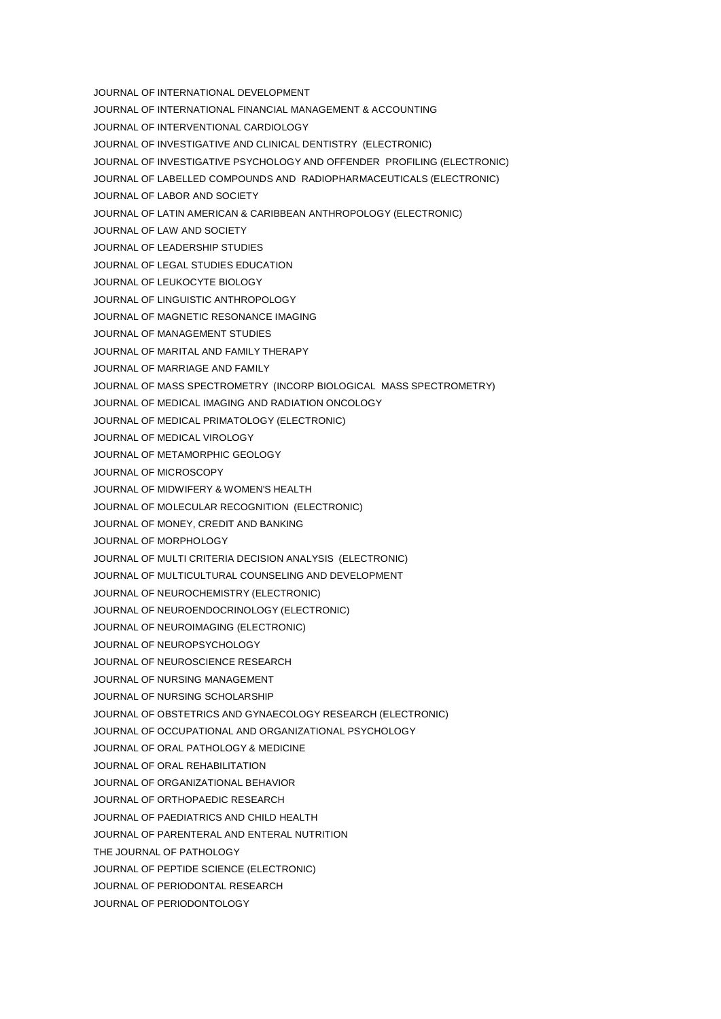- JOURNAL OF INTERNATIONAL DEVELOPMENT
- JOURNAL OF INTERNATIONAL FINANCIAL MANAGEMENT & ACCOUNTING
- JOURNAL OF INTERVENTIONAL CARDIOLOGY
- JOURNAL OF INVESTIGATIVE AND CLINICAL DENTISTRY (ELECTRONIC)
- JOURNAL OF INVESTIGATIVE PSYCHOLOGY AND OFFENDER PROFILING (ELECTRONIC)
- JOURNAL OF LABELLED COMPOUNDS AND RADIOPHARMACEUTICALS (ELECTRONIC)
- JOURNAL OF LABOR AND SOCIETY
- JOURNAL OF LATIN AMERICAN & CARIBBEAN ANTHROPOLOGY (ELECTRONIC)
- JOURNAL OF LAW AND SOCIETY
- JOURNAL OF LEADERSHIP STUDIES
- JOURNAL OF LEGAL STUDIES EDUCATION
- JOURNAL OF LEUKOCYTE BIOLOGY
- JOURNAL OF LINGUISTIC ANTHROPOLOGY
- JOURNAL OF MAGNETIC RESONANCE IMAGING
- JOURNAL OF MANAGEMENT STUDIES
- JOURNAL OF MARITAL AND FAMILY THERAPY
- JOURNAL OF MARRIAGE AND FAMILY
- JOURNAL OF MASS SPECTROMETRY (INCORP BIOLOGICAL MASS SPECTROMETRY)
- JOURNAL OF MEDICAL IMAGING AND RADIATION ONCOLOGY
- JOURNAL OF MEDICAL PRIMATOLOGY (ELECTRONIC)
- JOURNAL OF MEDICAL VIROLOGY
- JOURNAL OF METAMORPHIC GEOLOGY
- JOURNAL OF MICROSCOPY
- JOURNAL OF MIDWIFERY & WOMEN'S HEALTH
- JOURNAL OF MOLECULAR RECOGNITION (ELECTRONIC)
- JOURNAL OF MONEY, CREDIT AND BANKING
- JOURNAL OF MORPHOLOGY
- JOURNAL OF MULTI CRITERIA DECISION ANALYSIS (ELECTRONIC)
- JOURNAL OF MULTICULTURAL COUNSELING AND DEVELOPMENT
- JOURNAL OF NEUROCHEMISTRY (ELECTRONIC)
- JOURNAL OF NEUROENDOCRINOLOGY (ELECTRONIC)
- JOURNAL OF NEUROIMAGING (ELECTRONIC)
- JOURNAL OF NEUROPSYCHOLOGY
- JOURNAL OF NEUROSCIENCE RESEARCH
- JOURNAL OF NURSING MANAGEMENT
- JOURNAL OF NURSING SCHOLARSHIP
- JOURNAL OF OBSTETRICS AND GYNAECOLOGY RESEARCH (ELECTRONIC)
- JOURNAL OF OCCUPATIONAL AND ORGANIZATIONAL PSYCHOLOGY
- JOURNAL OF ORAL PATHOLOGY & MEDICINE
- JOURNAL OF ORAL REHABILITATION
- JOURNAL OF ORGANIZATIONAL BEHAVIOR
- JOURNAL OF ORTHOPAEDIC RESEARCH
- JOURNAL OF PAEDIATRICS AND CHILD HEALTH
- JOURNAL OF PARENTERAL AND ENTERAL NUTRITION
- THE JOURNAL OF PATHOLOGY
- JOURNAL OF PEPTIDE SCIENCE (ELECTRONIC)
- JOURNAL OF PERIODONTAL RESEARCH
- JOURNAL OF PERIODONTOLOGY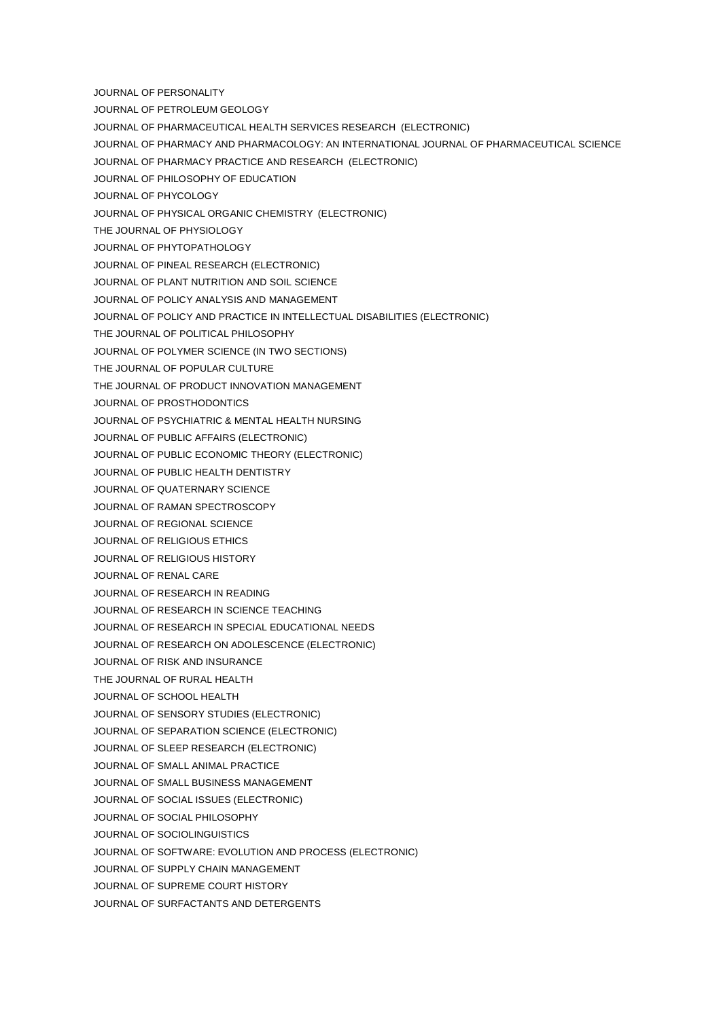- JOURNAL OF PERSONALITY
- JOURNAL OF PETROLEUM GEOLOGY
- JOURNAL OF PHARMACEUTICAL HEALTH SERVICES RESEARCH (ELECTRONIC)
- JOURNAL OF PHARMACY AND PHARMACOLOGY: AN INTERNATIONAL JOURNAL OF PHARMACEUTICAL SCIENCE
- JOURNAL OF PHARMACY PRACTICE AND RESEARCH (ELECTRONIC)
- JOURNAL OF PHILOSOPHY OF EDUCATION
- JOURNAL OF PHYCOLOGY
- JOURNAL OF PHYSICAL ORGANIC CHEMISTRY (ELECTRONIC)
- THE JOURNAL OF PHYSIOLOGY
- JOURNAL OF PHYTOPATHOLOGY
- JOURNAL OF PINEAL RESEARCH (ELECTRONIC)
- JOURNAL OF PLANT NUTRITION AND SOIL SCIENCE
- JOURNAL OF POLICY ANALYSIS AND MANAGEMENT
- JOURNAL OF POLICY AND PRACTICE IN INTELLECTUAL DISABILITIES (ELECTRONIC)
- THE JOURNAL OF POLITICAL PHILOSOPHY
- JOURNAL OF POLYMER SCIENCE (IN TWO SECTIONS)
- THE JOURNAL OF POPULAR CULTURE
- THE JOURNAL OF PRODUCT INNOVATION MANAGEMENT
- JOURNAL OF PROSTHODONTICS
- JOURNAL OF PSYCHIATRIC & MENTAL HEALTH NURSING
- JOURNAL OF PUBLIC AFFAIRS (ELECTRONIC)
- JOURNAL OF PUBLIC ECONOMIC THEORY (ELECTRONIC)
- JOURNAL OF PUBLIC HEALTH DENTISTRY
- JOURNAL OF QUATERNARY SCIENCE
- JOURNAL OF RAMAN SPECTROSCOPY
- JOURNAL OF REGIONAL SCIENCE
- JOURNAL OF RELIGIOUS ETHICS
- JOURNAL OF RELIGIOUS HISTORY
- JOURNAL OF RENAL CARE
- JOURNAL OF RESEARCH IN READING
- JOURNAL OF RESEARCH IN SCIENCE TEACHING
- JOURNAL OF RESEARCH IN SPECIAL EDUCATIONAL NEEDS
- JOURNAL OF RESEARCH ON ADOLESCENCE (ELECTRONIC)
- JOURNAL OF RISK AND INSURANCE
- THE JOURNAL OF RURAL HEALTH
- JOURNAL OF SCHOOL HEALTH
- JOURNAL OF SENSORY STUDIES (ELECTRONIC)
- JOURNAL OF SEPARATION SCIENCE (ELECTRONIC)
- JOURNAL OF SLEEP RESEARCH (ELECTRONIC)
- JOURNAL OF SMALL ANIMAL PRACTICE
- JOURNAL OF SMALL BUSINESS MANAGEMENT
- JOURNAL OF SOCIAL ISSUES (ELECTRONIC)
- JOURNAL OF SOCIAL PHILOSOPHY
- JOURNAL OF SOCIOLINGUISTICS
- JOURNAL OF SOFTWARE: EVOLUTION AND PROCESS (ELECTRONIC)
- JOURNAL OF SUPPLY CHAIN MANAGEMENT
- JOURNAL OF SUPREME COURT HISTORY
- JOURNAL OF SURFACTANTS AND DETERGENTS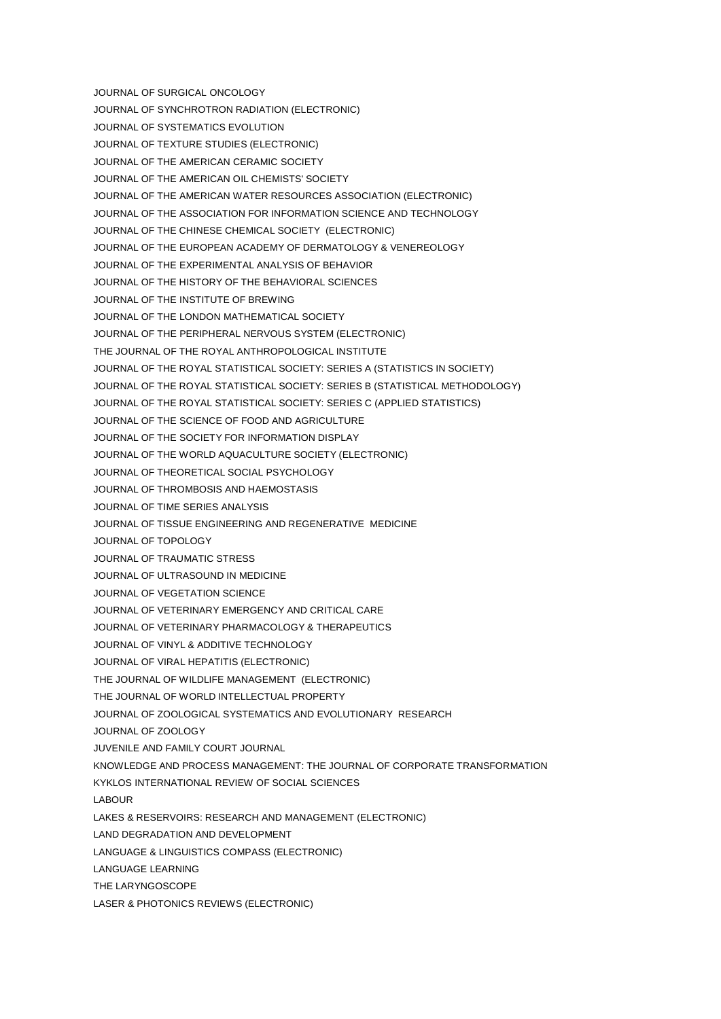JOURNAL OF SURGICAL ONCOLOGY JOURNAL OF SYNCHROTRON RADIATION (ELECTRONIC) JOURNAL OF SYSTEMATICS EVOLUTION JOURNAL OF TEXTURE STUDIES (ELECTRONIC) JOURNAL OF THE AMERICAN CERAMIC SOCIETY JOURNAL OF THE AMERICAN OIL CHEMISTS' SOCIETY JOURNAL OF THE AMERICAN WATER RESOURCES ASSOCIATION (ELECTRONIC) JOURNAL OF THE ASSOCIATION FOR INFORMATION SCIENCE AND TECHNOLOGY JOURNAL OF THE CHINESE CHEMICAL SOCIETY (ELECTRONIC) JOURNAL OF THE EUROPEAN ACADEMY OF DERMATOLOGY & VENEREOLOGY JOURNAL OF THE EXPERIMENTAL ANALYSIS OF BEHAVIOR JOURNAL OF THE HISTORY OF THE BEHAVIORAL SCIENCES JOURNAL OF THE INSTITUTE OF BREWING JOURNAL OF THE LONDON MATHEMATICAL SOCIETY JOURNAL OF THE PERIPHERAL NERVOUS SYSTEM (ELECTRONIC) THE JOURNAL OF THE ROYAL ANTHROPOLOGICAL INSTITUTE JOURNAL OF THE ROYAL STATISTICAL SOCIETY: SERIES A (STATISTICS IN SOCIETY) JOURNAL OF THE ROYAL STATISTICAL SOCIETY: SERIES B (STATISTICAL METHODOLOGY) JOURNAL OF THE ROYAL STATISTICAL SOCIETY: SERIES C (APPLIED STATISTICS) JOURNAL OF THE SCIENCE OF FOOD AND AGRICULTURE JOURNAL OF THE SOCIETY FOR INFORMATION DISPLAY JOURNAL OF THE WORLD AQUACULTURE SOCIETY (ELECTRONIC) JOURNAL OF THEORETICAL SOCIAL PSYCHOLOGY JOURNAL OF THROMBOSIS AND HAEMOSTASIS JOURNAL OF TIME SERIES ANALYSIS JOURNAL OF TISSUE ENGINEERING AND REGENERATIVE MEDICINE JOURNAL OF TOPOLOGY JOURNAL OF TRAUMATIC STRESS JOURNAL OF ULTRASOUND IN MEDICINE JOURNAL OF VEGETATION SCIENCE JOURNAL OF VETERINARY EMERGENCY AND CRITICAL CARE JOURNAL OF VETERINARY PHARMACOLOGY & THERAPEUTICS JOURNAL OF VINYL & ADDITIVE TECHNOLOGY JOURNAL OF VIRAL HEPATITIS (ELECTRONIC) THE JOURNAL OF WILDLIFE MANAGEMENT (ELECTRONIC) THE JOURNAL OF WORLD INTELLECTUAL PROPERTY JOURNAL OF ZOOLOGICAL SYSTEMATICS AND EVOLUTIONARY RESEARCH JOURNAL OF ZOOLOGY JUVENILE AND FAMILY COURT JOURNAL KNOWLEDGE AND PROCESS MANAGEMENT: THE JOURNAL OF CORPORATE TRANSFORMATION KYKLOS INTERNATIONAL REVIEW OF SOCIAL SCIENCES LABOUR LAKES & RESERVOIRS: RESEARCH AND MANAGEMENT (ELECTRONIC) LAND DEGRADATION AND DEVELOPMENT LANGUAGE & LINGUISTICS COMPASS (ELECTRONIC) LANGUAGE LEARNING THE LARYNGOSCOPE LASER & PHOTONICS REVIEWS (ELECTRONIC)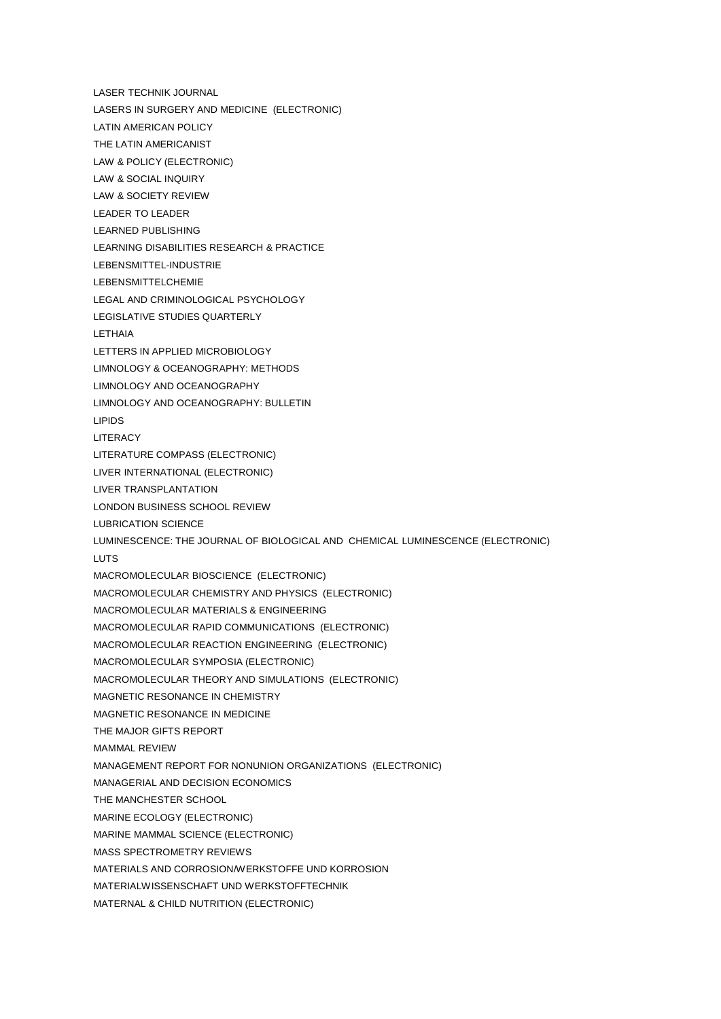LASER TECHNIK JOURNAL LASERS IN SURGERY AND MEDICINE (ELECTRONIC) LATIN AMERICAN POLICY THE LATIN AMERICANIST LAW & POLICY (ELECTRONIC) LAW & SOCIAL INQUIRY LAW & SOCIETY REVIEW LEADER TO LEADER LEARNED PUBLISHING LEARNING DISABILITIES RESEARCH & PRACTICE LEBENSMITTEL-INDUSTRIE LEBENSMITTELCHEMIE LEGAL AND CRIMINOLOGICAL PSYCHOLOGY LEGISLATIVE STUDIES QUARTERLY LETHAIA LETTERS IN APPLIED MICROBIOLOGY LIMNOLOGY & OCEANOGRAPHY: METHODS LIMNOLOGY AND OCEANOGRAPHY LIMNOLOGY AND OCEANOGRAPHY: BULLETIN LIPIDS **LITERACY** LITERATURE COMPASS (ELECTRONIC) LIVER INTERNATIONAL (ELECTRONIC) LIVER TRANSPLANTATION LONDON BUSINESS SCHOOL REVIEW LUBRICATION SCIENCE LUMINESCENCE: THE JOURNAL OF BIOLOGICAL AND CHEMICAL LUMINESCENCE (ELECTRONIC) **LUTS** MACROMOLECULAR BIOSCIENCE (ELECTRONIC) MACROMOLECULAR CHEMISTRY AND PHYSICS (ELECTRONIC) MACROMOLECULAR MATERIALS & ENGINEERING MACROMOLECULAR RAPID COMMUNICATIONS (ELECTRONIC) MACROMOLECULAR REACTION ENGINEERING (ELECTRONIC) MACROMOLECULAR SYMPOSIA (ELECTRONIC) MACROMOLECULAR THEORY AND SIMULATIONS (ELECTRONIC) MAGNETIC RESONANCE IN CHEMISTRY MAGNETIC RESONANCE IN MEDICINE THE MAJOR GIFTS REPORT MAMMAL REVIEW MANAGEMENT REPORT FOR NONUNION ORGANIZATIONS (ELECTRONIC) MANAGERIAL AND DECISION ECONOMICS THE MANCHESTER SCHOOL MARINE ECOLOGY (ELECTRONIC) MARINE MAMMAL SCIENCE (ELECTRONIC) MASS SPECTROMETRY REVIEWS MATERIALS AND CORROSION/WERKSTOFFE UND KORROSION MATERIALWISSENSCHAFT UND WERKSTOFFTECHNIK MATERNAL & CHILD NUTRITION (ELECTRONIC)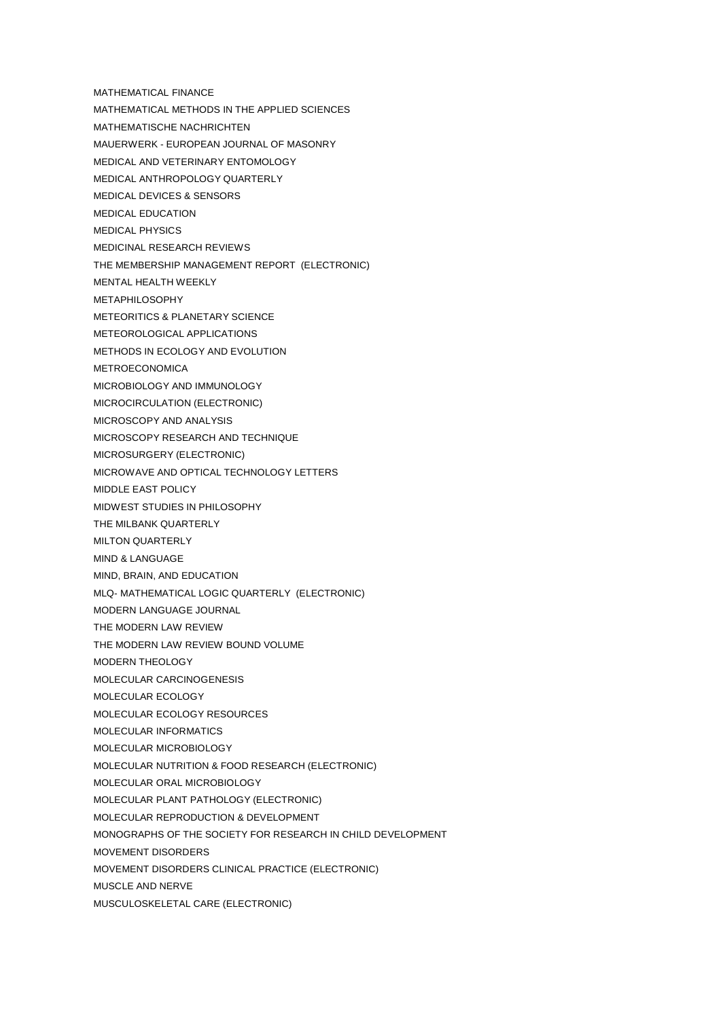- MATHEMATICAL FINANCE
- MATHEMATICAL METHODS IN THE APPLIED SCIENCES
- MATHEMATISCHE NACHRICHTEN
- MAUERWERK EUROPEAN JOURNAL OF MASONRY
- MEDICAL AND VETERINARY ENTOMOLOGY
- MEDICAL ANTHROPOLOGY QUARTERLY
- MEDICAL DEVICES & SENSORS
- MEDICAL EDUCATION
- MEDICAL PHYSICS
- MEDICINAL RESEARCH REVIEWS
- THE MEMBERSHIP MANAGEMENT REPORT (ELECTRONIC)
- MENTAL HEALTH WEEKLY
- METAPHILOSOPHY
- METEORITICS & PLANETARY SCIENCE
- METEOROLOGICAL APPLICATIONS
- METHODS IN ECOLOGY AND EVOLUTION
- METROECONOMICA
- MICROBIOLOGY AND IMMUNOLOGY
- MICROCIRCULATION (ELECTRONIC)
- MICROSCOPY AND ANALYSIS
- MICROSCOPY RESEARCH AND TECHNIQUE
- MICROSURGERY (ELECTRONIC)
- MICROWAVE AND OPTICAL TECHNOLOGY LETTERS
- MIDDLE EAST POLICY
- MIDWEST STUDIES IN PHILOSOPHY
- THE MILBANK QUARTERLY
- MILTON QUARTERLY
- MIND & LANGUAGE
- MIND, BRAIN, AND EDUCATION
- MLQ- MATHEMATICAL LOGIC QUARTERLY (ELECTRONIC)
- MODERN LANGUAGE JOURNAL
- THE MODERN LAW REVIEW
- THE MODERN LAW REVIEW BOUND VOLUME
- MODERN THEOLOGY
- MOLECULAR CARCINOGENESIS
- MOLECULAR ECOLOGY
- MOLECULAR ECOLOGY RESOURCES
- MOLECULAR INFORMATICS
- MOLECULAR MICROBIOLOGY
- MOLECULAR NUTRITION & FOOD RESEARCH (ELECTRONIC)
- MOLECULAR ORAL MICROBIOLOGY
- MOLECULAR PLANT PATHOLOGY (ELECTRONIC)
- MOLECULAR REPRODUCTION & DEVELOPMENT
- MONOGRAPHS OF THE SOCIETY FOR RESEARCH IN CHILD DEVELOPMENT
- MOVEMENT DISORDERS
- MOVEMENT DISORDERS CLINICAL PRACTICE (ELECTRONIC)
- MUSCLE AND NERVE
- MUSCULOSKELETAL CARE (ELECTRONIC)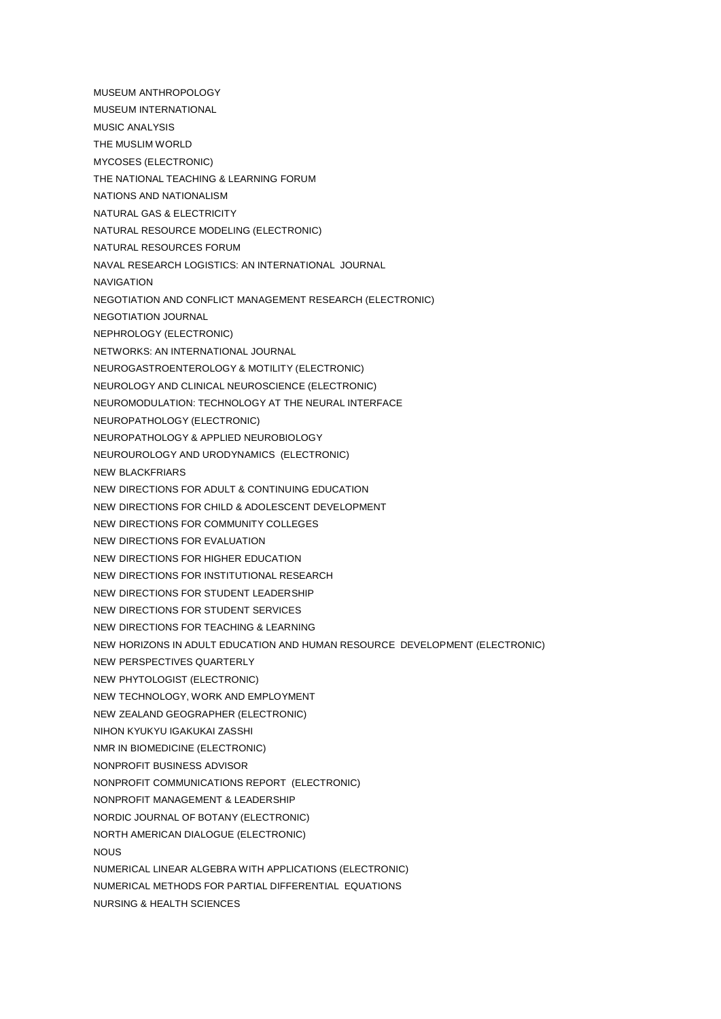- MUSEUM ANTHROPOLOGY
- MUSEUM INTERNATIONAL
- MUSIC ANALYSIS
- THE MUSLIM WORLD
- MYCOSES (ELECTRONIC)
- THE NATIONAL TEACHING & LEARNING FORUM
- NATIONS AND NATIONALISM
- NATURAL GAS & ELECTRICITY
- NATURAL RESOURCE MODELING (ELECTRONIC)
- NATURAL RESOURCES FORUM
- NAVAL RESEARCH LOGISTICS: AN INTERNATIONAL JOURNAL
- NAVIGATION
- NEGOTIATION AND CONFLICT MANAGEMENT RESEARCH (ELECTRONIC)
- NEGOTIATION JOURNAL
- NEPHROLOGY (ELECTRONIC)
- NETWORKS: AN INTERNATIONAL JOURNAL
- NEUROGASTROENTEROLOGY & MOTILITY (ELECTRONIC)
- NEUROLOGY AND CLINICAL NEUROSCIENCE (ELECTRONIC)
- NEUROMODULATION: TECHNOLOGY AT THE NEURAL INTERFACE
- NEUROPATHOLOGY (ELECTRONIC)
- NEUROPATHOLOGY & APPLIED NEUROBIOLOGY
- NEUROUROLOGY AND URODYNAMICS (ELECTRONIC)
- NEW BLACKFRIARS
- NEW DIRECTIONS FOR ADULT & CONTINUING EDUCATION
- NEW DIRECTIONS FOR CHILD & ADOLESCENT DEVELOPMENT
- NEW DIRECTIONS FOR COMMUNITY COLLEGES
- NEW DIRECTIONS FOR EVALUATION
- NEW DIRECTIONS FOR HIGHER EDUCATION
- NEW DIRECTIONS FOR INSTITUTIONAL RESEARCH
- NEW DIRECTIONS FOR STUDENT LEADERSHIP
- NEW DIRECTIONS FOR STUDENT SERVICES
- NEW DIRECTIONS FOR TEACHING & LEARNING
- NEW HORIZONS IN ADULT EDUCATION AND HUMAN RESOURCE DEVELOPMENT (ELECTRONIC)
- NEW PERSPECTIVES QUARTERLY
- NEW PHYTOLOGIST (ELECTRONIC)
- NEW TECHNOLOGY, WORK AND EMPLOYMENT
- NEW ZEALAND GEOGRAPHER (ELECTRONIC)
- NIHON KYUKYU IGAKUKAI ZASSHI
- NMR IN BIOMEDICINE (ELECTRONIC)
- NONPROFIT BUSINESS ADVISOR
- NONPROFIT COMMUNICATIONS REPORT (ELECTRONIC)
- NONPROFIT MANAGEMENT & LEADERSHIP
- NORDIC JOURNAL OF BOTANY (ELECTRONIC)
- NORTH AMERICAN DIALOGUE (ELECTRONIC)
- NOUS
- NUMERICAL LINEAR ALGEBRA WITH APPLICATIONS (ELECTRONIC)
- NUMERICAL METHODS FOR PARTIAL DIFFERENTIAL EQUATIONS
- NURSING & HEALTH SCIENCES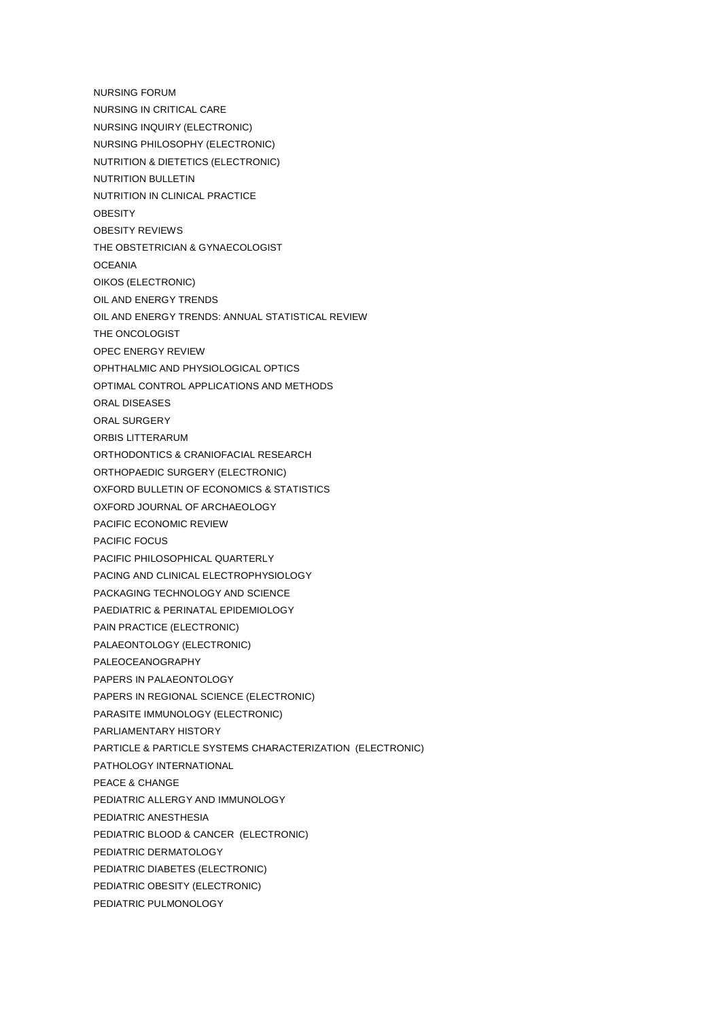NURSING FORUM NURSING IN CRITICAL CARE NURSING INQUIRY (ELECTRONIC) NURSING PHILOSOPHY (ELECTRONIC) NUTRITION & DIETETICS (ELECTRONIC) NUTRITION BULLETIN NUTRITION IN CLINICAL PRACTICE **OBESITY** OBESITY REVIEWS THE OBSTETRICIAN & GYNAECOLOGIST **OCEANIA** OIKOS (ELECTRONIC) OIL AND ENERGY TRENDS OIL AND ENERGY TRENDS: ANNUAL STATISTICAL REVIEW THE ONCOLOGIST OPEC ENERGY REVIEW OPHTHALMIC AND PHYSIOLOGICAL OPTICS OPTIMAL CONTROL APPLICATIONS AND METHODS ORAL DISEASES ORAL SURGERY ORBIS LITTERARUM ORTHODONTICS & CRANIOFACIAL RESEARCH ORTHOPAEDIC SURGERY (ELECTRONIC) OXFORD BULLETIN OF ECONOMICS & STATISTICS OXFORD JOURNAL OF ARCHAEOLOGY PACIFIC ECONOMIC REVIEW PACIFIC FOCUS PACIFIC PHILOSOPHICAL QUARTERLY PACING AND CLINICAL ELECTROPHYSIOLOGY PACKAGING TECHNOLOGY AND SCIENCE PAEDIATRIC & PERINATAL EPIDEMIOLOGY PAIN PRACTICE (ELECTRONIC) PALAEONTOLOGY (ELECTRONIC) PALEOCEANOGRAPHY PAPERS IN PALAEONTOLOGY PAPERS IN REGIONAL SCIENCE (ELECTRONIC) PARASITE IMMUNOLOGY (ELECTRONIC) PARLIAMENTARY HISTORY PARTICLE & PARTICLE SYSTEMS CHARACTERIZATION (ELECTRONIC) PATHOLOGY INTERNATIONAL PEACE & CHANGE PEDIATRIC ALLERGY AND IMMUNOLOGY PEDIATRIC ANESTHESIA PEDIATRIC BLOOD & CANCER (ELECTRONIC) PEDIATRIC DERMATOLOGY PEDIATRIC DIABETES (ELECTRONIC) PEDIATRIC OBESITY (ELECTRONIC)

PEDIATRIC PULMONOLOGY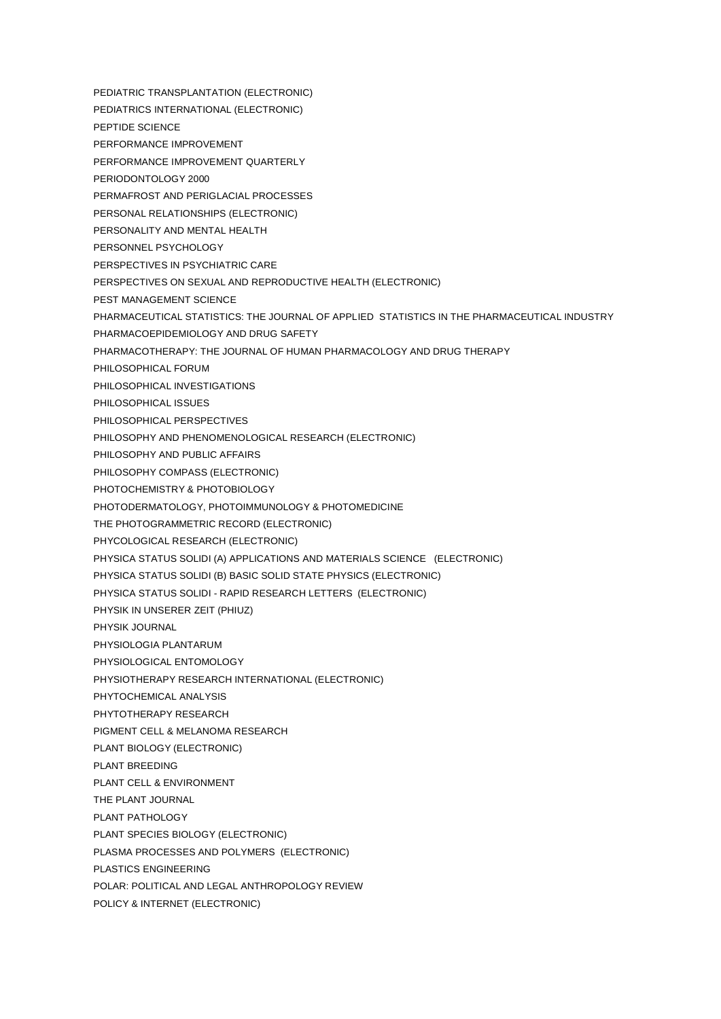PEDIATRIC TRANSPLANTATION (ELECTRONIC) PEDIATRICS INTERNATIONAL (ELECTRONIC) PEPTIDE SCIENCE PERFORMANCE IMPROVEMENT PERFORMANCE IMPROVEMENT QUARTERLY PERIODONTOLOGY 2000 PERMAFROST AND PERIGLACIAL PROCESSES PERSONAL RELATIONSHIPS (ELECTRONIC) PERSONALITY AND MENTAL HEALTH PERSONNEL PSYCHOLOGY PERSPECTIVES IN PSYCHIATRIC CARE PERSPECTIVES ON SEXUAL AND REPRODUCTIVE HEALTH (ELECTRONIC) PEST MANAGEMENT SCIENCE PHARMACEUTICAL STATISTICS: THE JOURNAL OF APPLIED STATISTICS IN THE PHARMACEUTICAL INDUSTRY PHARMACOEPIDEMIOLOGY AND DRUG SAFETY PHARMACOTHERAPY: THE JOURNAL OF HUMAN PHARMACOLOGY AND DRUG THERAPY PHILOSOPHICAL FORUM PHILOSOPHICAL INVESTIGATIONS PHILOSOPHICAL ISSUES PHILOSOPHICAL PERSPECTIVES PHILOSOPHY AND PHENOMENOLOGICAL RESEARCH (ELECTRONIC) PHILOSOPHY AND PUBLIC AFFAIRS PHILOSOPHY COMPASS (ELECTRONIC) PHOTOCHEMISTRY & PHOTOBIOLOGY PHOTODERMATOLOGY, PHOTOIMMUNOLOGY & PHOTOMEDICINE THE PHOTOGRAMMETRIC RECORD (ELECTRONIC) PHYCOLOGICAL RESEARCH (ELECTRONIC) PHYSICA STATUS SOLIDI (A) APPLICATIONS AND MATERIALS SCIENCE (ELECTRONIC) PHYSICA STATUS SOLIDI (B) BASIC SOLID STATE PHYSICS (ELECTRONIC) PHYSICA STATUS SOLIDI - RAPID RESEARCH LETTERS (ELECTRONIC) PHYSIK IN UNSERER ZEIT (PHIUZ) PHYSIK JOURNAL PHYSIOLOGIA PLANTARUM PHYSIOLOGICAL ENTOMOLOGY PHYSIOTHERAPY RESEARCH INTERNATIONAL (ELECTRONIC) PHYTOCHEMICAL ANALYSIS PHYTOTHERAPY RESEARCH PIGMENT CELL & MELANOMA RESEARCH PLANT BIOLOGY (ELECTRONIC) PLANT BREEDING PLANT CELL & ENVIRONMENT THE PLANT JOURNAL PLANT PATHOLOGY PLANT SPECIES BIOLOGY (ELECTRONIC) PLASMA PROCESSES AND POLYMERS (ELECTRONIC) PLASTICS ENGINEERING POLAR: POLITICAL AND LEGAL ANTHROPOLOGY REVIEW POLICY & INTERNET (ELECTRONIC)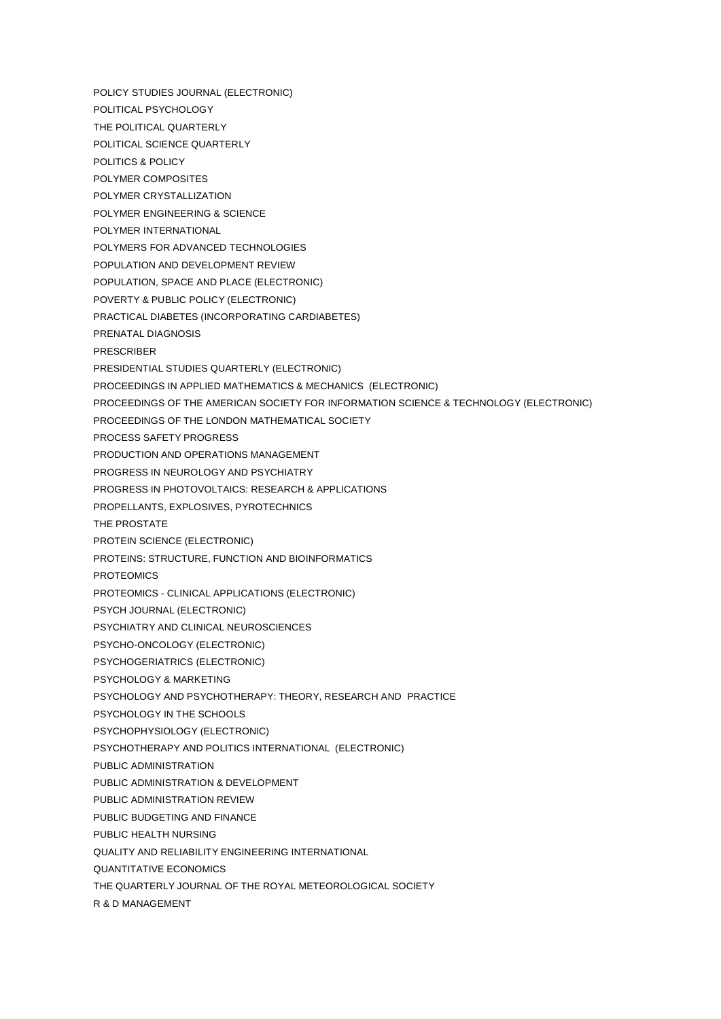POLICY STUDIES JOURNAL (ELECTRONIC)

- POLITICAL PSYCHOLOGY
- THE POLITICAL QUARTERLY
- POLITICAL SCIENCE QUARTERLY
- POLITICS & POLICY
- POLYMER COMPOSITES
- POLYMER CRYSTALLIZATION
- POLYMER ENGINEERING & SCIENCE
- POLYMER INTERNATIONAL
- POLYMERS FOR ADVANCED TECHNOLOGIES
- POPULATION AND DEVELOPMENT REVIEW
- POPULATION, SPACE AND PLACE (ELECTRONIC)
- POVERTY & PUBLIC POLICY (ELECTRONIC)
- PRACTICAL DIABETES (INCORPORATING CARDIABETES)
- PRENATAL DIAGNOSIS
- PRESCRIBER
- PRESIDENTIAL STUDIES QUARTERLY (ELECTRONIC)
- PROCEEDINGS IN APPLIED MATHEMATICS & MECHANICS (ELECTRONIC)
- PROCEEDINGS OF THE AMERICAN SOCIETY FOR INFORMATION SCIENCE & TECHNOLOGY (ELECTRONIC)
- PROCEEDINGS OF THE LONDON MATHEMATICAL SOCIETY
- PROCESS SAFETY PROGRESS
- PRODUCTION AND OPERATIONS MANAGEMENT
- PROGRESS IN NEUROLOGY AND PSYCHIATRY
- PROGRESS IN PHOTOVOLTAICS: RESEARCH & APPLICATIONS
- PROPELLANTS, EXPLOSIVES, PYROTECHNICS
- THE PROSTATE
- PROTEIN SCIENCE (ELECTRONIC)
- PROTEINS: STRUCTURE, FUNCTION AND BIOINFORMATICS
- **PROTEOMICS**
- PROTEOMICS CLINICAL APPLICATIONS (ELECTRONIC)
- PSYCH JOURNAL (ELECTRONIC)
- PSYCHIATRY AND CLINICAL NEUROSCIENCES
- PSYCHO-ONCOLOGY (ELECTRONIC)
- PSYCHOGERIATRICS (ELECTRONIC)
- PSYCHOLOGY & MARKETING
- PSYCHOLOGY AND PSYCHOTHERAPY: THEORY, RESEARCH AND PRACTICE
- PSYCHOLOGY IN THE SCHOOLS
- PSYCHOPHYSIOLOGY (ELECTRONIC)
- PSYCHOTHERAPY AND POLITICS INTERNATIONAL (ELECTRONIC)
- PUBLIC ADMINISTRATION
- PUBLIC ADMINISTRATION & DEVELOPMENT
- PUBLIC ADMINISTRATION REVIEW
- PUBLIC BUDGETING AND FINANCE
- PUBLIC HEALTH NURSING
- QUALITY AND RELIABILITY ENGINEERING INTERNATIONAL
- QUANTITATIVE ECONOMICS
- THE QUARTERLY JOURNAL OF THE ROYAL METEOROLOGICAL SOCIETY
- R & D MANAGEMENT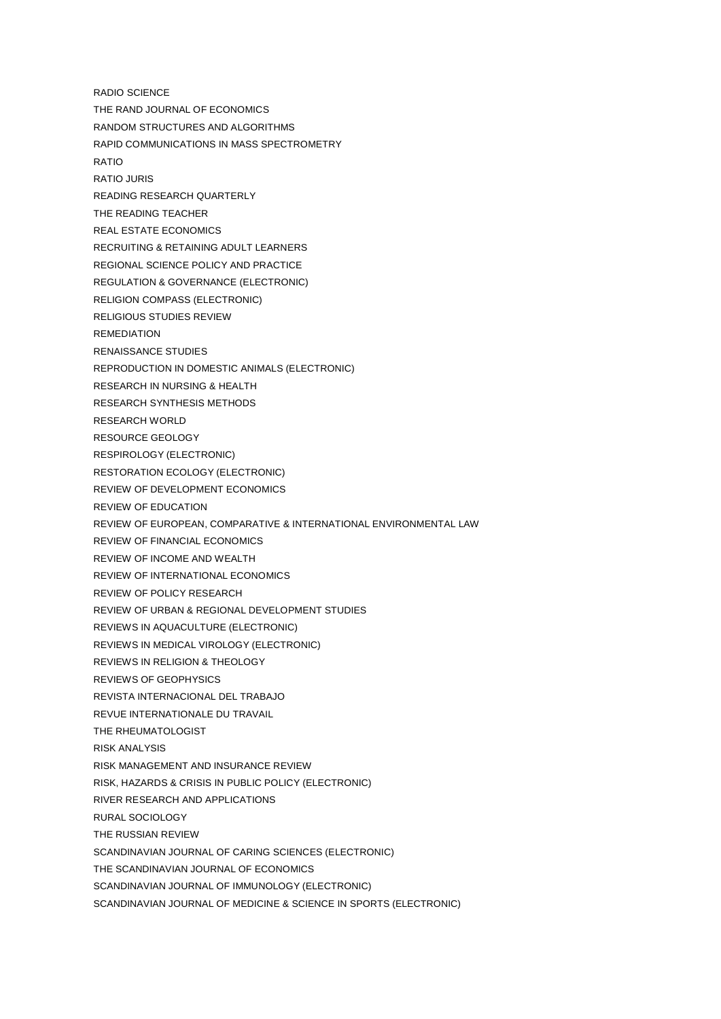- RADIO SCIENCE THE RAND JOURNAL OF ECONOMICS RANDOM STRUCTURES AND ALGORITHMS RAPID COMMUNICATIONS IN MASS SPECTROMETRY RATIO RATIO JURIS READING RESEARCH QUARTERLY THE READING TEACHER REAL ESTATE ECONOMICS RECRUITING & RETAINING ADULT LEARNERS REGIONAL SCIENCE POLICY AND PRACTICE REGULATION & GOVERNANCE (ELECTRONIC) RELIGION COMPASS (ELECTRONIC) RELIGIOUS STUDIES REVIEW REMEDIATION RENAISSANCE STUDIES REPRODUCTION IN DOMESTIC ANIMALS (ELECTRONIC) RESEARCH IN NURSING & HEALTH RESEARCH SYNTHESIS METHODS RESEARCH WORLD RESOURCE GEOLOGY RESPIROLOGY (ELECTRONIC) RESTORATION ECOLOGY (ELECTRONIC) REVIEW OF DEVELOPMENT ECONOMICS REVIEW OF EDUCATION REVIEW OF EUROPEAN, COMPARATIVE & INTERNATIONAL ENVIRONMENTAL LAW REVIEW OF FINANCIAL ECONOMICS REVIEW OF INCOME AND WEALTH REVIEW OF INTERNATIONAL ECONOMICS REVIEW OF POLICY RESEARCH REVIEW OF URBAN & REGIONAL DEVELOPMENT STUDIES REVIEWS IN AQUACULTURE (ELECTRONIC) REVIEWS IN MEDICAL VIROLOGY (ELECTRONIC) REVIEWS IN RELIGION & THEOLOGY REVIEWS OF GEOPHYSICS REVISTA INTERNACIONAL DEL TRABAJO REVUE INTERNATIONALE DU TRAVAIL THE RHEUMATOLOGIST RISK ANALYSIS RISK MANAGEMENT AND INSURANCE REVIEW RISK, HAZARDS & CRISIS IN PUBLIC POLICY (ELECTRONIC) RIVER RESEARCH AND APPLICATIONS RURAL SOCIOLOGY THE RUSSIAN REVIEW SCANDINAVIAN JOURNAL OF CARING SCIENCES (ELECTRONIC)
- THE SCANDINAVIAN JOURNAL OF ECONOMICS
- SCANDINAVIAN JOURNAL OF IMMUNOLOGY (ELECTRONIC)
- SCANDINAVIAN JOURNAL OF MEDICINE & SCIENCE IN SPORTS (ELECTRONIC)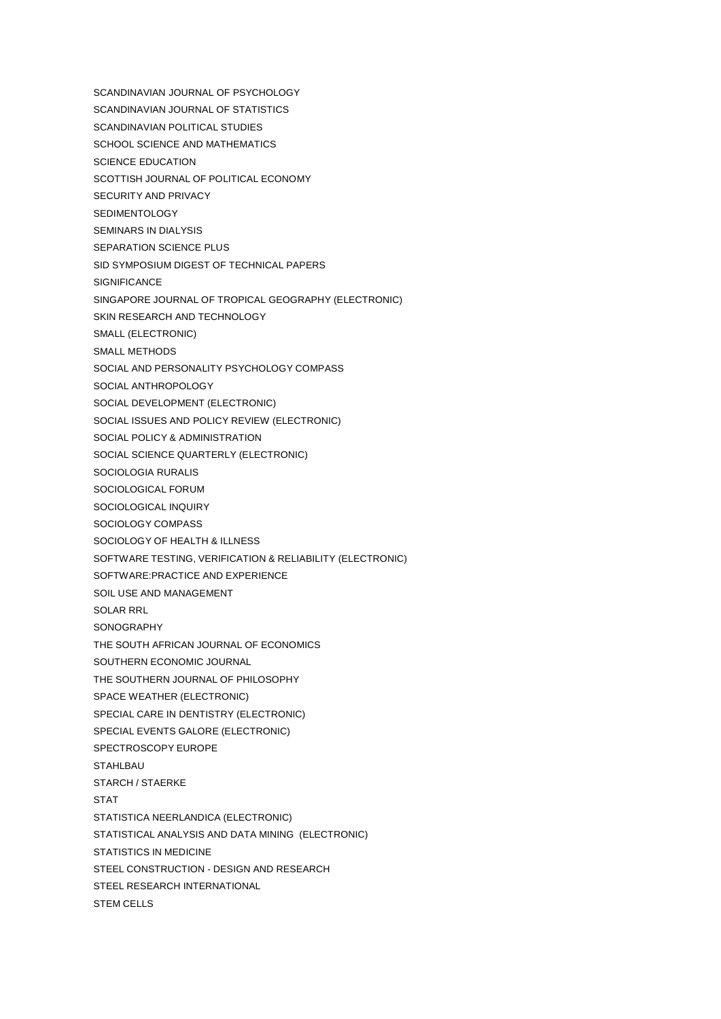- SCANDINAVIAN JOURNAL OF PSYCHOLOGY
- SCANDINAVIAN JOURNAL OF STATISTICS
- SCANDINAVIAN POLITICAL STUDIES
- SCHOOL SCIENCE AND MATHEMATICS
- SCIENCE EDUCATION
- SCOTTISH JOURNAL OF POLITICAL ECONOMY
- SECURITY AND PRIVACY
- **SEDIMENTOLOGY**
- SEMINARS IN DIALYSIS
- SEPARATION SCIENCE PLUS
- SID SYMPOSIUM DIGEST OF TECHNICAL PAPERS
- **SIGNIFICANCE**
- SINGAPORE JOURNAL OF TROPICAL GEOGRAPHY (ELECTRONIC)
- SKIN RESEARCH AND TECHNOLOGY
- SMALL (ELECTRONIC)
- SMALL METHODS
- SOCIAL AND PERSONALITY PSYCHOLOGY COMPASS
- SOCIAL ANTHROPOLOGY
- SOCIAL DEVELOPMENT (ELECTRONIC)
- SOCIAL ISSUES AND POLICY REVIEW (ELECTRONIC)
- SOCIAL POLICY & ADMINISTRATION
- SOCIAL SCIENCE QUARTERLY (ELECTRONIC)
- SOCIOLOGIA RURALIS
- SOCIOLOGICAL FORUM
- SOCIOLOGICAL INQUIRY
- SOCIOLOGY COMPASS
- SOCIOLOGY OF HEALTH & ILLNESS
- SOFTWARE TESTING, VERIFICATION & RELIABILITY (ELECTRONIC)
- SOFTWARE:PRACTICE AND EXPERIENCE
- SOIL USE AND MANAGEMENT
- SOLAR RRL
- SONOGRAPHY
- THE SOUTH AFRICAN JOURNAL OF ECONOMICS
- SOUTHERN ECONOMIC JOURNAL
- THE SOUTHERN JOURNAL OF PHILOSOPHY
- SPACE WEATHER (ELECTRONIC)
- SPECIAL CARE IN DENTISTRY (ELECTRONIC)
- SPECIAL EVENTS GALORE (ELECTRONIC)
- SPECTROSCOPY EUROPE
- **STAHLBAU**
- STARCH / STAERKE
- **STAT**
- STATISTICA NEERLANDICA (ELECTRONIC)
- STATISTICAL ANALYSIS AND DATA MINING (ELECTRONIC)
- STATISTICS IN MEDICINE
- STEEL CONSTRUCTION DESIGN AND RESEARCH
- STEEL RESEARCH INTERNATIONAL
- STEM CELLS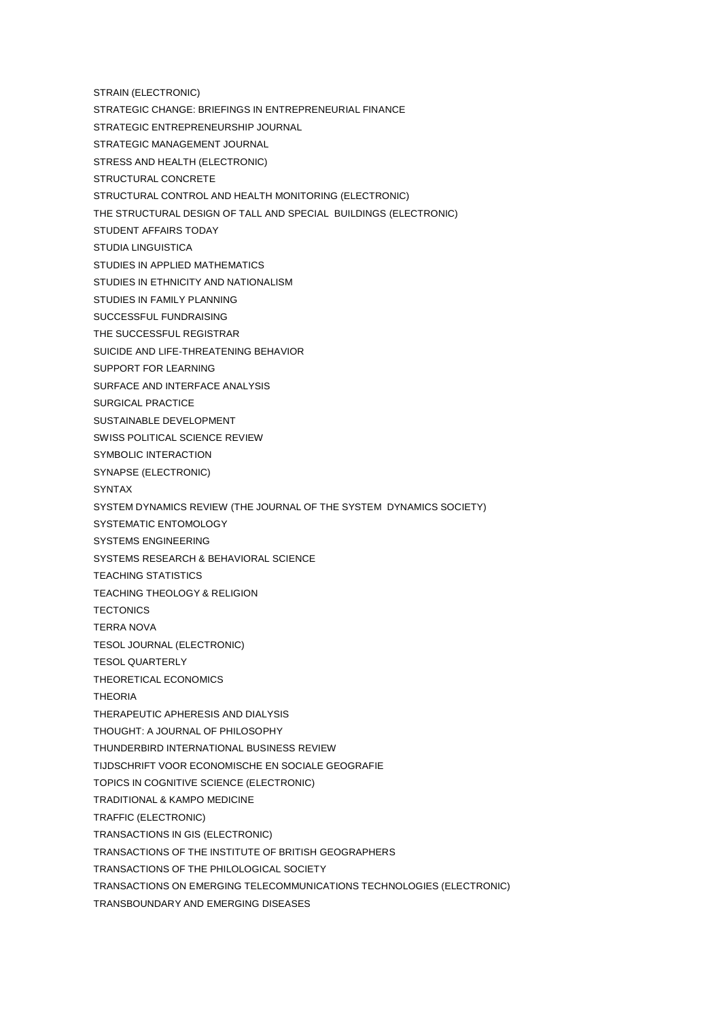- STRAIN (ELECTRONIC)
- STRATEGIC CHANGE: BRIEFINGS IN ENTREPRENEURIAL FINANCE
- STRATEGIC ENTREPRENEURSHIP JOURNAL
- STRATEGIC MANAGEMENT JOURNAL
- STRESS AND HEALTH (ELECTRONIC)
- STRUCTURAL CONCRETE
- STRUCTURAL CONTROL AND HEALTH MONITORING (ELECTRONIC)
- THE STRUCTURAL DESIGN OF TALL AND SPECIAL BUILDINGS (ELECTRONIC)
- STUDENT AFFAIRS TODAY
- STUDIA LINGUISTICA
- STUDIES IN APPLIED MATHEMATICS
- STUDIES IN ETHNICITY AND NATIONALISM
- STUDIES IN FAMILY PLANNING
- SUCCESSFUL FUNDRAISING
- THE SUCCESSFUL REGISTRAR
- SUICIDE AND LIFE-THREATENING BEHAVIOR
- SUPPORT FOR LEARNING
- SURFACE AND INTERFACE ANALYSIS
- SURGICAL PRACTICE
- SUSTAINABLE DEVELOPMENT
- SWISS POLITICAL SCIENCE REVIEW
- SYMBOLIC INTERACTION
- SYNAPSE (ELECTRONIC)
- SYNTAX
- SYSTEM DYNAMICS REVIEW (THE JOURNAL OF THE SYSTEM DYNAMICS SOCIETY)
- SYSTEMATIC ENTOMOLOGY
- SYSTEMS ENGINEERING
- SYSTEMS RESEARCH & BEHAVIORAL SCIENCE
- TEACHING STATISTICS
- TEACHING THEOLOGY & RELIGION
- **TECTONICS**
- TERRA NOVA
- TESOL JOURNAL (ELECTRONIC)
- TESOL QUARTERLY
- THEORETICAL ECONOMICS
- THEORIA
- THERAPEUTIC APHERESIS AND DIALYSIS
- THOUGHT: A JOURNAL OF PHILOSOPHY
- THUNDERBIRD INTERNATIONAL BUSINESS REVIEW
- TIJDSCHRIFT VOOR ECONOMISCHE EN SOCIALE GEOGRAFIE
- TOPICS IN COGNITIVE SCIENCE (ELECTRONIC)
- TRADITIONAL & KAMPO MEDICINE
- TRAFFIC (ELECTRONIC)
- TRANSACTIONS IN GIS (ELECTRONIC)
- TRANSACTIONS OF THE INSTITUTE OF BRITISH GEOGRAPHERS
- TRANSACTIONS OF THE PHILOLOGICAL SOCIETY
- TRANSACTIONS ON EMERGING TELECOMMUNICATIONS TECHNOLOGIES (ELECTRONIC)
- TRANSBOUNDARY AND EMERGING DISEASES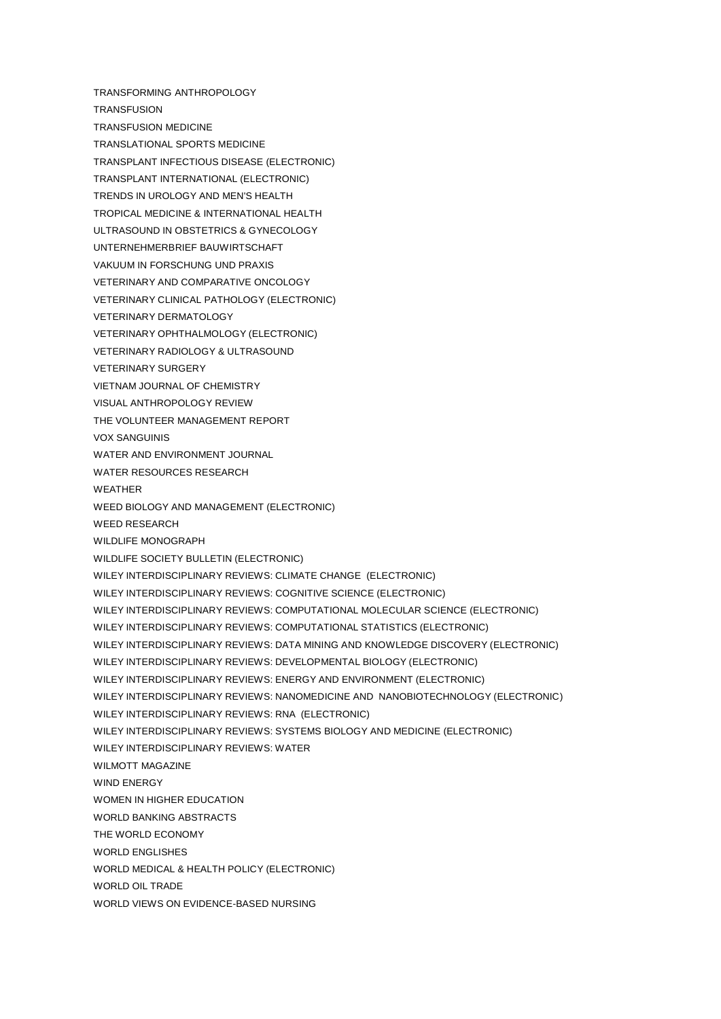TRANSFORMING ANTHROPOLOGY **TRANSFUSION** TRANSFUSION MEDICINE TRANSLATIONAL SPORTS MEDICINE TRANSPLANT INFECTIOUS DISEASE (ELECTRONIC) TRANSPLANT INTERNATIONAL (ELECTRONIC) TRENDS IN UROLOGY AND MEN'S HEALTH TROPICAL MEDICINE & INTERNATIONAL HEALTH ULTRASOUND IN OBSTETRICS & GYNECOLOGY UNTERNEHMERBRIEF BAUWIRTSCHAFT VAKUUM IN FORSCHUNG UND PRAXIS VETERINARY AND COMPARATIVE ONCOLOGY VETERINARY CLINICAL PATHOLOGY (ELECTRONIC) VETERINARY DERMATOLOGY VETERINARY OPHTHALMOLOGY (ELECTRONIC) VETERINARY RADIOLOGY & ULTRASOUND VETERINARY SURGERY VIETNAM JOURNAL OF CHEMISTRY VISUAL ANTHROPOLOGY REVIEW THE VOLUNTEER MANAGEMENT REPORT VOX SANGUINIS WATER AND ENVIRONMENT JOURNAL WATER RESOURCES RESEARCH WEATHER WEED BIOLOGY AND MANAGEMENT (ELECTRONIC) WEED RESEARCH WILDLIFF MONOGRAPH WILDLIFE SOCIETY BULLETIN (ELECTRONIC) WILEY INTERDISCIPLINARY REVIEWS: CLIMATE CHANGE (ELECTRONIC) WILEY INTERDISCIPLINARY REVIEWS: COGNITIVE SCIENCE (ELECTRONIC) WILEY INTERDISCIPLINARY REVIEWS: COMPUTATIONAL MOLECULAR SCIENCE (ELECTRONIC) WILEY INTERDISCIPLINARY REVIEWS: COMPUTATIONAL STATISTICS (ELECTRONIC) WILEY INTERDISCIPLINARY REVIEWS: DATA MINING AND KNOWLEDGE DISCOVERY (ELECTRONIC) WILEY INTERDISCIPLINARY REVIEWS: DEVELOPMENTAL BIOLOGY (ELECTRONIC) WILEY INTERDISCIPLINARY REVIEWS: ENERGY AND ENVIRONMENT (ELECTRONIC) WILEY INTERDISCIPLINARY REVIEWS: NANOMEDICINE AND NANOBIOTECHNOLOGY (ELECTRONIC) WILEY INTERDISCIPLINARY REVIEWS: RNA (ELECTRONIC) WILEY INTERDISCIPLINARY REVIEWS: SYSTEMS BIOLOGY AND MEDICINE (ELECTRONIC) WILEY INTERDISCIPLINARY REVIEWS: WATER WILMOTT MAGAZINE WIND ENERGY WOMEN IN HIGHER EDUCATION WORLD BANKING ABSTRACTS THE WORLD ECONOMY WORLD ENGLISHES WORLD MEDICAL & HEALTH POLICY (ELECTRONIC) WORLD OIL TRADE WORLD VIEWS ON EVIDENCE-BASED NURSING